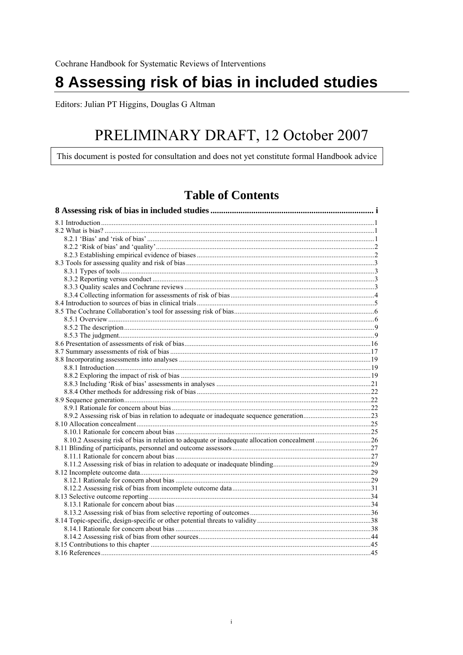# <span id="page-0-0"></span>8 Assessing risk of bias in included studies

Editors: Julian PT Higgins, Douglas G Altman

# PRELIMINARY DRAFT, 12 October 2007

This document is posted for consultation and does not yet constitute formal Handbook advice

## **Table of Contents**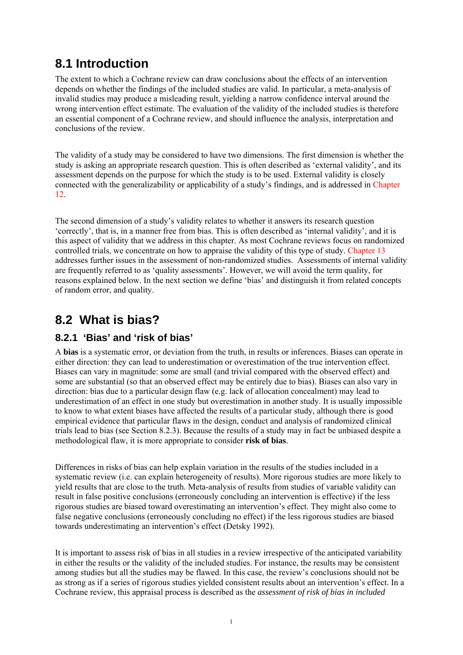## <span id="page-1-0"></span>**8.1 Introduction**

The extent to which a Cochrane review can draw conclusions about the effects of an intervention depends on whether the findings of the included studies are valid. In particular, a meta-analysis of invalid studies may produce a misleading result, yielding a narrow confidence interval around the wrong intervention effect estimate. The evaluation of the validity of the included studies is therefore an essential component of a Cochrane review, and should influence the analysis, interpretation and conclusions of the review.

The validity of a study may be considered to have two dimensions. The first dimension is whether the study is asking an appropriate research question. This is often described as 'external validity', and its assessment depends on the purpose for which the study is to be used. External validity is closely connected with the generalizability or applicability of a study's findings, and is addressed in Chapter 12.

The second dimension of a study's validity relates to whether it answers its research question 'correctly', that is, in a manner free from bias. This is often described as 'internal validity', and it is this aspect of validity that we address in this chapter. As most Cochrane reviews focus on randomized controlled trials, we concentrate on how to appraise the validity of this type of study. Chapter 13 addresses further issues in the assessment of non-randomized studies. Assessments of internal validity are frequently referred to as 'quality assessments'. However, we will avoid the term quality, for reasons explained below. In the next section we define 'bias' and distinguish it from related concepts of random error, and quality.

## <span id="page-1-1"></span>**8.2 What is bias?**

## **8.2.1 'Bias' and 'risk of bias'**

A **bias** is a systematic error, or deviation from the truth, in results or inferences. Biases can operate in either direction: they can lead to underestimation or overestimation of the true intervention effect. Biases can vary in magnitude: some are small (and trivial compared with the observed effect) and some are substantial (so that an observed effect may be entirely due to bias). Biases can also vary in direction: bias due to a particular design flaw (e.g. lack of allocation concealment) may lead to underestimation of an effect in one study but overestimation in another study. It is usually impossible to know to what extent biases have affected the results of a particular study, although there is good empirical evidence that particular flaws in the design, conduct and analysis of randomized clinical trials lead to bias (see Section [8.2.3\)](#page-2-1). Because the results of a study may in fact be unbiased despite a methodological flaw, it is more appropriate to consider **risk of bias**.

Differences in risks of bias can help explain variation in the results of the studies included in a systematic review (i.e. can explain heterogeneity of results). More rigorous studies are more likely to yield results that are close to the truth. Meta-analysis of results from studies of variable validity can result in false positive conclusions (erroneously concluding an intervention is effective) if the less rigorous studies are biased toward overestimating an intervention's effect. They might also come to false negative conclusions (erroneously concluding no effect) if the less rigorous studies are biased towards underestimating an intervention's effect (Detsky 1992).

It is important to assess risk of bias in all studies in a review irrespective of the anticipated variability in either the results or the validity of the included studies. For instance, the results may be consistent among studies but all the studies may be flawed. In this case, the review's conclusions should not be as strong as if a series of rigorous studies yielded consistent results about an intervention's effect. In a Cochrane review, this appraisal process is described as the *assessment of risk of bias in included*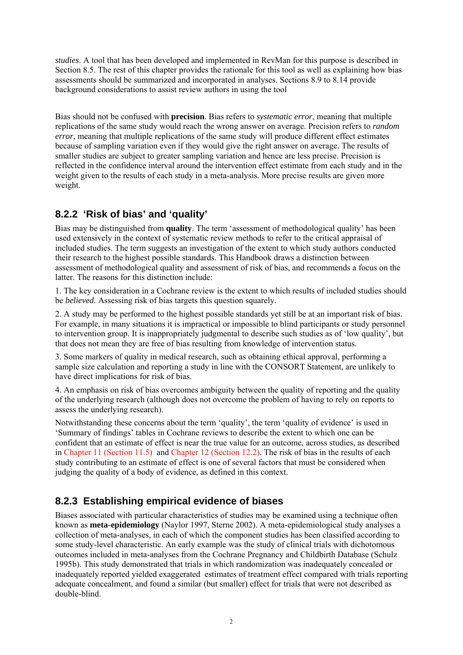<span id="page-2-0"></span>*studies*. A tool that has been developed and implemented in RevMan for this purpose is described in Section [8.5.](#page-6-1) The rest of this chapter provides the rationale for this tool as well as explaining how bias assessments should be summarized and incorporated in analyses. Sections [8.9](#page-22-1) to [8.14](#page-38-1) provide background considerations to assist review authors in using the tool

Bias should not be confused with **precision**. Bias refers to *systematic error*, meaning that multiple replications of the same study would reach the wrong answer on average. Precision refers to *random error*, meaning that multiple replications of the same study will produce different effect estimates because of sampling variation even if they would give the right answer on average. The results of smaller studies are subject to greater sampling variation and hence are less precise. Precision is reflected in the confidence interval around the intervention effect estimate from each study and in the weight given to the results of each study in a meta-analysis. More precise results are given more weight.

## **8.2.2 'Risk of bias' and 'quality'**

Bias may be distinguished from **quality**. The term 'assessment of methodological quality' has been used extensively in the context of systematic review methods to refer to the critical appraisal of included studies. The term suggests an investigation of the extent to which study authors conducted their research to the highest possible standards. This Handbook draws a distinction between assessment of methodological quality and assessment of risk of bias, and recommends a focus on the latter. The reasons for this distinction include:

1. The key consideration in a Cochrane review is the extent to which results of included studies should be *believed*. Assessing risk of bias targets this question squarely.

2. A study may be performed to the highest possible standards yet still be at an important risk of bias. For example, in many situations it is impractical or impossible to blind participants or study personnel to intervention group. It is inappropriately judgmental to describe such studies as of 'low quality', but that does not mean they are free of bias resulting from knowledge of intervention status.

3. Some markers of quality in medical research, such as obtaining ethical approval, performing a sample size calculation and reporting a study in line with the CONSORT Statement, are unlikely to have direct implications for risk of bias.

4. An emphasis on risk of bias overcomes ambiguity between the quality of reporting and the quality of the underlying research (although does not overcome the problem of having to rely on reports to assess the underlying research).

Notwithstanding these concerns about the term 'quality', the term 'quality of evidence' is used in 'Summary of findings' tables in Cochrane reviews to describe the extent to which one can be confident that an estimate of effect is near the true value for an outcome, across studies, as described in Chapter 11 (Section 11.5) and Chapter 12 (Section 12.2). The risk of bias in the results of each study contributing to an estimate of effect is one of several factors that must be considered when judging the quality of a body of evidence, as defined in this context.

## <span id="page-2-1"></span>**8.2.3 Establishing empirical evidence of biases**

Biases associated with particular characteristics of studies may be examined using a technique often known as **meta-epidemiology** (Naylor 1997, Sterne 2002). A meta-epidemiological study analyses a collection of meta-analyses, in each of which the component studies has been classified according to some study-level characteristic. An early example was the study of clinical trials with dichotomous outcomes included in meta-analyses from the Cochrane Pregnancy and Childbirth Database (Schulz 1995b). This study demonstrated that trials in which randomization was inadequately concealed or inadequately reported yielded exaggerated estimates of treatment effect compared with trials reporting adequate concealment, and found a similar (but smaller) effect for trials that were not described as double-blind.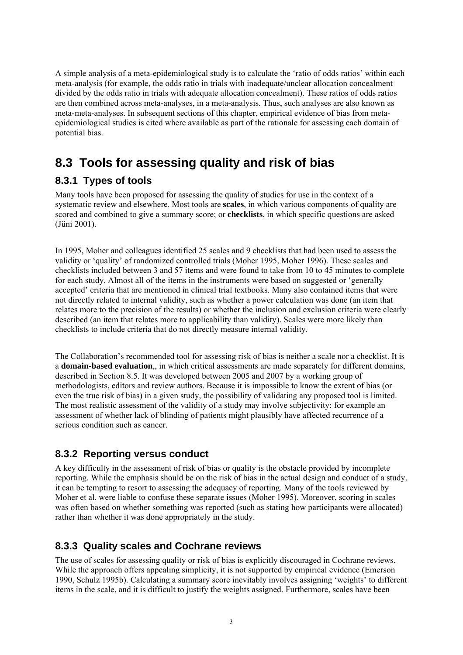<span id="page-3-0"></span>A simple analysis of a meta-epidemiological study is to calculate the 'ratio of odds ratios' within each meta-analysis (for example, the odds ratio in trials with inadequate/unclear allocation concealment divided by the odds ratio in trials with adequate allocation concealment). These ratios of odds ratios are then combined across meta-analyses, in a meta-analysis. Thus, such analyses are also known as meta-meta-analyses. In subsequent sections of this chapter, empirical evidence of bias from metaepidemiological studies is cited where available as part of the rationale for assessing each domain of potential bias.

## **8.3 Tools for assessing quality and risk of bias**

## <span id="page-3-1"></span>**8.3.1 Types of tools**

Many tools have been proposed for assessing the quality of studies for use in the context of a systematic review and elsewhere. Most tools are **scales**, in which various components of quality are scored and combined to give a summary score; or **checklists**, in which specific questions are asked (Jüni 2001).

In 1995, Moher and colleagues identified 25 scales and 9 checklists that had been used to assess the validity or 'quality' of randomized controlled trials (Moher 1995, Moher 1996). These scales and checklists included between 3 and 57 items and were found to take from 10 to 45 minutes to complete for each study. Almost all of the items in the instruments were based on suggested or 'generally accepted' criteria that are mentioned in clinical trial textbooks. Many also contained items that were not directly related to internal validity, such as whether a power calculation was done (an item that relates more to the precision of the results) or whether the inclusion and exclusion criteria were clearly described (an item that relates more to applicability than validity). Scales were more likely than checklists to include criteria that do not directly measure internal validity.

The Collaboration's recommended tool for assessing risk of bias is neither a scale nor a checklist. It is a **domain-based evaluation**,, in which critical assessments are made separately for different domains, described in Section [8.5.](#page-6-1) It was developed between 2005 and 2007 by a working group of methodologists, editors and review authors. Because it is impossible to know the extent of bias (or even the true risk of bias) in a given study, the possibility of validating any proposed tool is limited. The most realistic assessment of the validity of a study may involve subjectivity: for example an assessment of whether lack of blinding of patients might plausibly have affected recurrence of a serious condition such as cancer.

## **8.3.2 Reporting versus conduct**

A key difficulty in the assessment of risk of bias or quality is the obstacle provided by incomplete reporting. While the emphasis should be on the risk of bias in the actual design and conduct of a study, it can be tempting to resort to assessing the adequacy of reporting. Many of the tools reviewed by Moher et al. were liable to confuse these separate issues (Moher 1995). Moreover, scoring in scales was often based on whether something was reported (such as stating how participants were allocated) rather than whether it was done appropriately in the study.

## **8.3.3 Quality scales and Cochrane reviews**

The use of scales for assessing quality or risk of bias is explicitly discouraged in Cochrane reviews. While the approach offers appealing simplicity, it is not supported by empirical evidence (Emerson 1990, Schulz 1995b). Calculating a summary score inevitably involves assigning 'weights' to different items in the scale, and it is difficult to justify the weights assigned. Furthermore, scales have been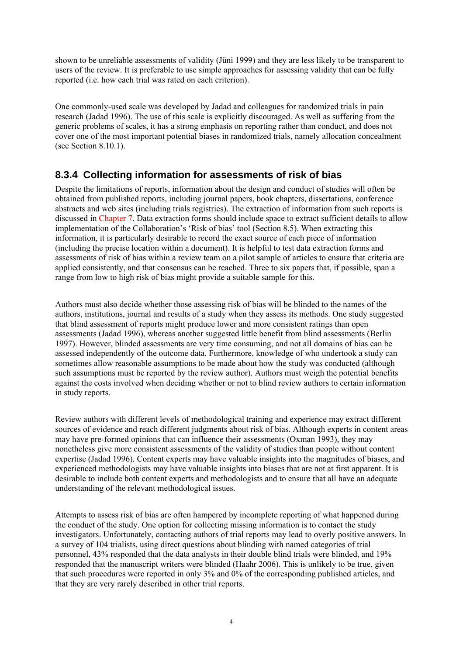<span id="page-4-0"></span>shown to be unreliable assessments of validity (Jüni 1999) and they are less likely to be transparent to users of the review. It is preferable to use simple approaches for assessing validity that can be fully reported (i.e. how each trial was rated on each criterion).

One commonly-used scale was developed by Jadad and colleagues for randomized trials in pain research (Jadad 1996). The use of this scale is explicitly discouraged. As well as suffering from the generic problems of scales, it has a strong emphasis on reporting rather than conduct, and does not cover one of the most important potential biases in randomized trials, namely allocation concealment (see Section [8.10.1\)](#page-25-1).

### **8.3.4 Collecting information for assessments of risk of bias**

Despite the limitations of reports, information about the design and conduct of studies will often be obtained from published reports, including journal papers, book chapters, dissertations, conference abstracts and web sites (including trials registries). The extraction of information from such reports is discussed in Chapter 7. Data extraction forms should include space to extract sufficient details to allow implementation of the Collaboration's 'Risk of bias' tool (Section [8.5\)](#page-6-1). When extracting this information, it is particularly desirable to record the exact source of each piece of information (including the precise location within a document). It is helpful to test data extraction forms and assessments of risk of bias within a review team on a pilot sample of articles to ensure that criteria are applied consistently, and that consensus can be reached. Three to six papers that, if possible, span a range from low to high risk of bias might provide a suitable sample for this.

Authors must also decide whether those assessing risk of bias will be blinded to the names of the authors, institutions, journal and results of a study when they assess its methods. One study suggested that blind assessment of reports might produce lower and more consistent ratings than open assessments (Jadad 1996), whereas another suggested little benefit from blind assessments (Berlin 1997). However, blinded assessments are very time consuming, and not all domains of bias can be assessed independently of the outcome data. Furthermore, knowledge of who undertook a study can sometimes allow reasonable assumptions to be made about how the study was conducted (although such assumptions must be reported by the review author). Authors must weigh the potential benefits against the costs involved when deciding whether or not to blind review authors to certain information in study reports.

Review authors with different levels of methodological training and experience may extract different sources of evidence and reach different judgments about risk of bias. Although experts in content areas may have pre-formed opinions that can influence their assessments (Oxman 1993), they may nonetheless give more consistent assessments of the validity of studies than people without content expertise (Jadad 1996). Content experts may have valuable insights into the magnitudes of biases, and experienced methodologists may have valuable insights into biases that are not at first apparent. It is desirable to include both content experts and methodologists and to ensure that all have an adequate understanding of the relevant methodological issues.

Attempts to assess risk of bias are often hampered by incomplete reporting of what happened during the conduct of the study. One option for collecting missing information is to contact the study investigators. Unfortunately, contacting authors of trial reports may lead to overly positive answers. In a survey of 104 trialists, using direct questions about blinding with named categories of trial personnel, 43% responded that the data analysts in their double blind trials were blinded, and 19% responded that the manuscript writers were blinded (Haahr 2006). This is unlikely to be true, given that such procedures were reported in only 3% and 0% of the corresponding published articles, and that they are very rarely described in other trial reports.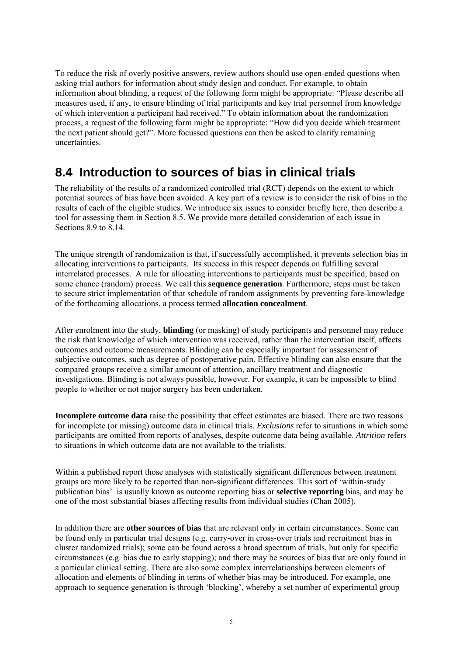<span id="page-5-0"></span>To reduce the risk of overly positive answers, review authors should use open-ended questions when asking trial authors for information about study design and conduct. For example, to obtain information about blinding, a request of the following form might be appropriate: "Please describe all measures used, if any, to ensure blinding of trial participants and key trial personnel from knowledge of which intervention a participant had received." To obtain information about the randomization process, a request of the following form might be appropriate: "How did you decide which treatment the next patient should get?". More focussed questions can then be asked to clarify remaining uncertainties.

## **8.4 Introduction to sources of bias in clinical trials**

The reliability of the results of a randomized controlled trial (RCT) depends on the extent to which potential sources of bias have been avoided. A key part of a review is to consider the risk of bias in the results of each of the eligible studies. We introduce six issues to consider briefly here, then describe a tool for assessing them in Section [8.5.](#page-6-1) We provide more detailed consideration of each issue in Sections [8.9](#page-22-1) to 8.14

The unique strength of randomization is that, if successfully accomplished, it prevents selection bias in allocating interventions to participants. Its success in this respect depends on fulfilling several interrelated processes. A rule for allocating interventions to participants must be specified, based on some chance (random) process. We call this **sequence generation**. Furthermore, steps must be taken to secure strict implementation of that schedule of random assignments by preventing fore-knowledge of the forthcoming allocations, a process termed **allocation concealment**.

After enrolment into the study, **blinding** (or masking) of study participants and personnel may reduce the risk that knowledge of which intervention was received, rather than the intervention itself, affects outcomes and outcome measurements. Blinding can be especially important for assessment of subjective outcomes, such as degree of postoperative pain. Effective blinding can also ensure that the compared groups receive a similar amount of attention, ancillary treatment and diagnostic investigations. Blinding is not always possible, however. For example, it can be impossible to blind people to whether or not major surgery has been undertaken.

**Incomplete outcome data** raise the possibility that effect estimates are biased. There are two reasons for incomplete (or missing) outcome data in clinical trials. *Exclusions* refer to situations in which some participants are omitted from reports of analyses, despite outcome data being available. *Attrition* refers to situations in which outcome data are not available to the trialists.

Within a published report those analyses with statistically significant differences between treatment groups are more likely to be reported than non-significant differences. This sort of 'within-study publication bias' is usually known as outcome reporting bias or **selective reporting** bias, and may be one of the most substantial biases affecting results from individual studies (Chan 2005).

In addition there are **other sources of bias** that are relevant only in certain circumstances. Some can be found only in particular trial designs (e.g. carry-over in cross-over trials and recruitment bias in cluster randomized trials); some can be found across a broad spectrum of trials, but only for specific circumstances (e.g. bias due to early stopping); and there may be sources of bias that are only found in a particular clinical setting. There are also some complex interrelationships between elements of allocation and elements of blinding in terms of whether bias may be introduced. For example, one approach to sequence generation is through 'blocking', whereby a set number of experimental group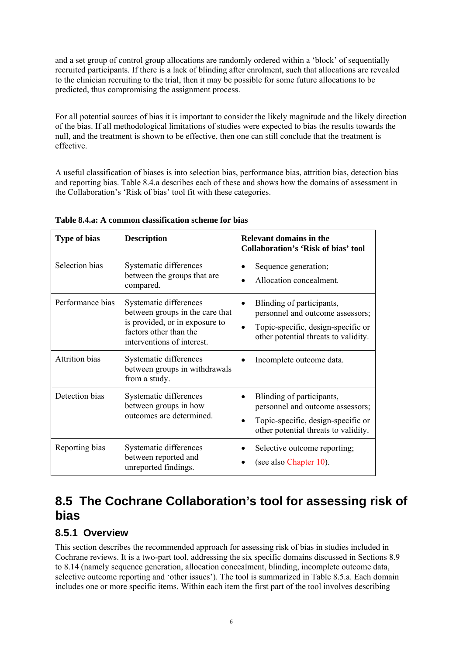<span id="page-6-0"></span>and a set group of control group allocations are randomly ordered within a 'block' of sequentially recruited participants. If there is a lack of blinding after enrolment, such that allocations are revealed to the clinician recruiting to the trial, then it may be possible for some future allocations to be predicted, thus compromising the assignment process.

For all potential sources of bias it is important to consider the likely magnitude and the likely direction of the bias. If all methodological limitations of studies were expected to bias the results towards the null, and the treatment is shown to be effective, then one can still conclude that the treatment is effective.

A useful classification of biases is into selection bias, performance bias, attrition bias, detection bias and reporting bias. [Table 8.4.a d](#page-6-2)escribes each of these and shows how the domains of assessment in the Collaboration's 'Risk of bias' tool fit with these categories.

| <b>Type of bias</b>   | <b>Description</b>                                                                                                                                  | <b>Relevant domains in the</b><br><b>Collaboration's 'Risk of bias' tool</b>                                                                             |
|-----------------------|-----------------------------------------------------------------------------------------------------------------------------------------------------|----------------------------------------------------------------------------------------------------------------------------------------------------------|
| Selection bias        | Systematic differences<br>between the groups that are<br>compared.                                                                                  | Sequence generation;<br>Allocation concealment                                                                                                           |
| Performance bias      | Systematic differences<br>between groups in the care that<br>is provided, or in exposure to<br>factors other than the<br>interventions of interest. | Blinding of participants,<br>personnel and outcome assessors;<br>Topic-specific, design-specific or<br>other potential threats to validity.              |
| <b>Attrition</b> bias | Systematic differences<br>between groups in withdrawals<br>from a study.                                                                            | Incomplete outcome data.                                                                                                                                 |
| Detection bias        | Systematic differences<br>between groups in how<br>outcomes are determined.                                                                         | Blinding of participants,<br>personnel and outcome assessors;<br>Topic-specific, design-specific or<br>$\bullet$<br>other potential threats to validity. |
| Reporting bias        | Systematic differences<br>between reported and<br>unreported findings.                                                                              | Selective outcome reporting;<br>(see also Chapter 10).                                                                                                   |

<span id="page-6-2"></span>**Table 8.4.a: A common classification scheme for bias** 

## <span id="page-6-1"></span>**8.5 The Cochrane Collaboration's tool for assessing risk of bias**

### **8.5.1 Overview**

This section describes the recommended approach for assessing risk of bias in studies included in Cochrane reviews. It is a two-part tool, addressing the six specific domains discussed in Sections [8.9](#page-22-1)  to [8.14](#page-38-1) (namely sequence generation, allocation concealment, blinding, incomplete outcome data, selective outcome reporting and 'other issues'). The tool is summarized in [Table 8.5.a.](#page-8-0) Each domain includes one or more specific items. Within each item the first part of the tool involves describing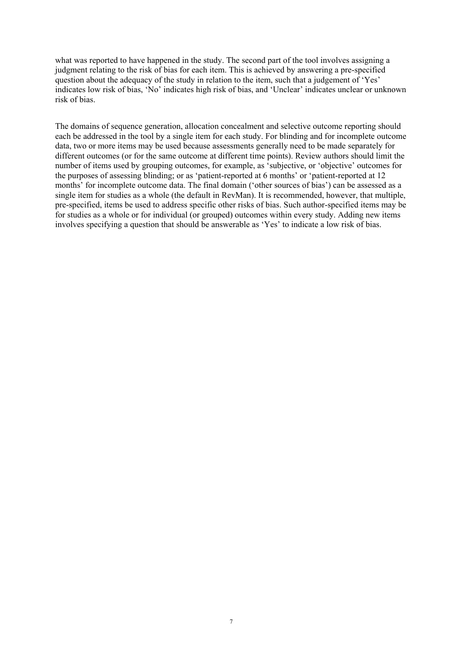what was reported to have happened in the study. The second part of the tool involves assigning a judgment relating to the risk of bias for each item. This is achieved by answering a pre-specified question about the adequacy of the study in relation to the item, such that a judgement of 'Yes' indicates low risk of bias, 'No' indicates high risk of bias, and 'Unclear' indicates unclear or unknown risk of bias.

The domains of sequence generation, allocation concealment and selective outcome reporting should each be addressed in the tool by a single item for each study. For blinding and for incomplete outcome data, two or more items may be used because assessments generally need to be made separately for different outcomes (or for the same outcome at different time points). Review authors should limit the number of items used by grouping outcomes, for example, as 'subjective, or 'objective' outcomes for the purposes of assessing blinding; or as 'patient-reported at 6 months' or 'patient-reported at 12 months' for incomplete outcome data. The final domain ('other sources of bias') can be assessed as a single item for studies as a whole (the default in RevMan). It is recommended, however, that multiple, pre-specified, items be used to address specific other risks of bias. Such author-specified items may be for studies as a whole or for individual (or grouped) outcomes within every study. Adding new items involves specifying a question that should be answerable as 'Yes' to indicate a low risk of bias.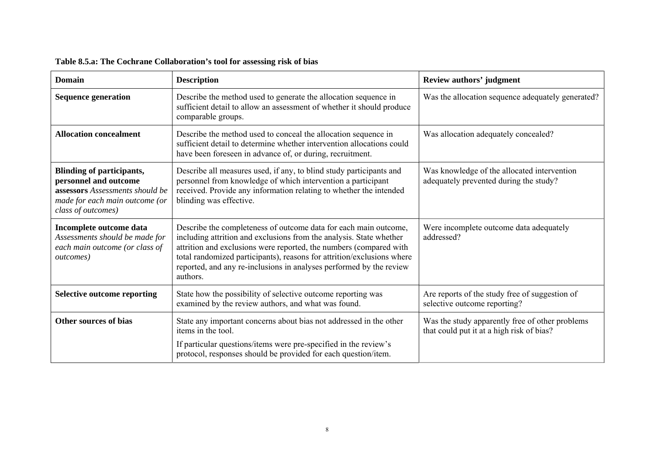<span id="page-8-0"></span>

| <b>Domain</b>                                                                                                                                        | <b>Description</b><br>Review authors' judgment                                                                                                                                                                                                                                                                                                                             |                                                                                              |
|------------------------------------------------------------------------------------------------------------------------------------------------------|----------------------------------------------------------------------------------------------------------------------------------------------------------------------------------------------------------------------------------------------------------------------------------------------------------------------------------------------------------------------------|----------------------------------------------------------------------------------------------|
| <b>Sequence generation</b>                                                                                                                           | Describe the method used to generate the allocation sequence in<br>sufficient detail to allow an assessment of whether it should produce<br>comparable groups.                                                                                                                                                                                                             | Was the allocation sequence adequately generated?                                            |
| <b>Allocation concealment</b>                                                                                                                        | Describe the method used to conceal the allocation sequence in<br>sufficient detail to determine whether intervention allocations could<br>have been foreseen in advance of, or during, recruitment.                                                                                                                                                                       | Was allocation adequately concealed?                                                         |
| <b>Blinding of participants,</b><br>personnel and outcome<br>assessors Assessments should be<br>made for each main outcome (or<br>class of outcomes) | Describe all measures used, if any, to blind study participants and<br>personnel from knowledge of which intervention a participant<br>received. Provide any information relating to whether the intended<br>blinding was effective.                                                                                                                                       | Was knowledge of the allocated intervention<br>adequately prevented during the study?        |
| Incomplete outcome data<br>Assessments should be made for<br>each main outcome (or class of<br><i>outcomes</i> )                                     | Describe the completeness of outcome data for each main outcome,<br>including attrition and exclusions from the analysis. State whether<br>attrition and exclusions were reported, the numbers (compared with<br>total randomized participants), reasons for attrition/exclusions where<br>reported, and any re-inclusions in analyses performed by the review<br>authors. | Were incomplete outcome data adequately<br>addressed?                                        |
| <b>Selective outcome reporting</b>                                                                                                                   | State how the possibility of selective outcome reporting was<br>examined by the review authors, and what was found.                                                                                                                                                                                                                                                        | Are reports of the study free of suggestion of<br>selective outcome reporting?               |
| Other sources of bias                                                                                                                                | State any important concerns about bias not addressed in the other<br>items in the tool.<br>If particular questions/items were pre-specified in the review's<br>protocol, responses should be provided for each question/item.                                                                                                                                             | Was the study apparently free of other problems<br>that could put it at a high risk of bias? |

## **Table 8.5.a: The Cochrane Collaboration's tool for assessing risk of bias**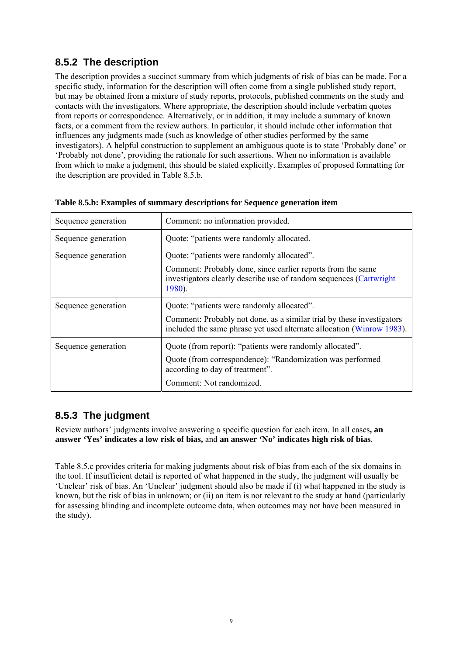## <span id="page-9-2"></span><span id="page-9-0"></span>**8.5.2 The description**

The description provides a succinct summary from which judgments of risk of bias can be made. For a specific study, information for the description will often come from a single published study report, but may be obtained from a mixture of study reports, protocols, published comments on the study and contacts with the investigators. Where appropriate, the description should include verbatim quotes from reports or correspondence. Alternatively, or in addition, it may include a summary of known facts, or a comment from the review authors. In particular, it should include other information that influences any judgments made (such as knowledge of other studies performed by the same investigators). A helpful construction to supplement an ambiguous quote is to state 'Probably done' or 'Probably not done', providing the rationale for such assertions. When no information is available from which to make a judgment, this should be stated explicitly. Examples of proposed formatting for the description are provided in [Table 8.5.b.](#page-9-1)

| Sequence generation | Comment: no information provided.                                                                                                                                                            |  |
|---------------------|----------------------------------------------------------------------------------------------------------------------------------------------------------------------------------------------|--|
| Sequence generation | Quote: "patients were randomly allocated.                                                                                                                                                    |  |
| Sequence generation | Quote: "patients were randomly allocated".<br>Comment: Probably done, since earlier reports from the same<br>investigators clearly describe use of random sequences (Cartwright<br>1980).    |  |
| Sequence generation | Quote: "patients were randomly allocated".<br>Comment: Probably not done, as a similar trial by these investigators<br>included the same phrase yet used alternate allocation (Winrow 1983). |  |
| Sequence generation | Quote (from report): "patients were randomly allocated".<br>Quote (from correspondence): "Randomization was performed<br>according to day of treatment".<br>Comment: Not randomized.         |  |

<span id="page-9-1"></span>**Table 8.5.b: Examples of summary descriptions for Sequence generation item** 

## **8.5.3 The judgment**

Review authors' judgments involve answering a specific question for each item. In all cases**, an answer 'Yes' indicates a low risk of bias,** and **an answer 'No' indicates high risk of bias**.

[Table 8.5.c p](#page-10-0)rovides criteria for making judgments about risk of bias from each of the six domains in the tool. If insufficient detail is reported of what happened in the study, the judgment will usually be 'Unclear' risk of bias. An 'Unclear' judgment should also be made if (i) what happened in the study is known, but the risk of bias in unknown; or (ii) an item is not relevant to the study at hand (particularly for assessing blinding and incomplete outcome data, when outcomes may not have been measured in the study).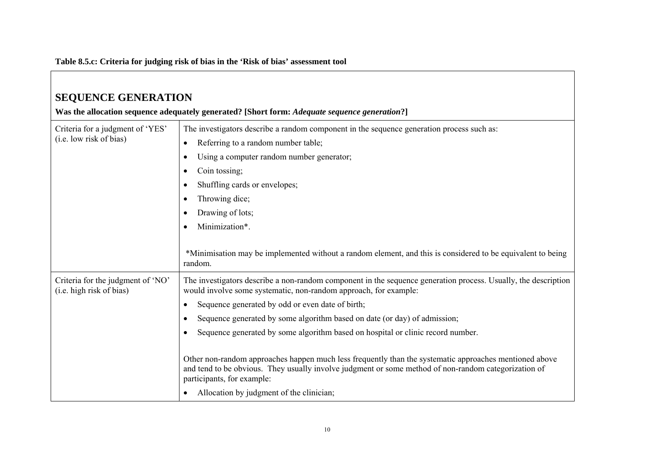<span id="page-10-0"></span>

|                                                                                                                             | Table 0.5.C. Cluella for Judging Tisk of blas in the Tisk of blas -assessment tool                                                                                                                                                           |  |
|-----------------------------------------------------------------------------------------------------------------------------|----------------------------------------------------------------------------------------------------------------------------------------------------------------------------------------------------------------------------------------------|--|
| <b>SEQUENCE GENERATION</b><br>Was the allocation sequence adequately generated? [Short form: Adequate sequence generation?] |                                                                                                                                                                                                                                              |  |
| Criteria for a judgment of 'YES'                                                                                            | The investigators describe a random component in the sequence generation process such as:                                                                                                                                                    |  |
| (i.e. low risk of bias)                                                                                                     | Referring to a random number table;<br>$\bullet$                                                                                                                                                                                             |  |
|                                                                                                                             | Using a computer random number generator;<br>$\bullet$                                                                                                                                                                                       |  |
|                                                                                                                             | Coin tossing;<br>٠                                                                                                                                                                                                                           |  |
|                                                                                                                             | Shuffling cards or envelopes;<br>$\bullet$                                                                                                                                                                                                   |  |
|                                                                                                                             | Throwing dice;<br>$\bullet$                                                                                                                                                                                                                  |  |
|                                                                                                                             | Drawing of lots;<br>$\bullet$                                                                                                                                                                                                                |  |
|                                                                                                                             | Minimization*.<br>$\bullet$                                                                                                                                                                                                                  |  |
|                                                                                                                             | *Minimisation may be implemented without a random element, and this is considered to be equivalent to being<br>random.                                                                                                                       |  |
| Criteria for the judgment of 'NO'<br>(i.e. high risk of bias)                                                               | The investigators describe a non-random component in the sequence generation process. Usually, the description<br>would involve some systematic, non-random approach, for example:                                                           |  |
|                                                                                                                             | Sequence generated by odd or even date of birth;<br>$\bullet$                                                                                                                                                                                |  |
|                                                                                                                             | Sequence generated by some algorithm based on date (or day) of admission;<br>$\bullet$                                                                                                                                                       |  |
|                                                                                                                             | Sequence generated by some algorithm based on hospital or clinic record number.<br>$\bullet$                                                                                                                                                 |  |
|                                                                                                                             |                                                                                                                                                                                                                                              |  |
|                                                                                                                             | Other non-random approaches happen much less frequently than the systematic approaches mentioned above<br>and tend to be obvious. They usually involve judgment or some method of non-random categorization of<br>participants, for example: |  |
|                                                                                                                             | Allocation by judgment of the clinician;                                                                                                                                                                                                     |  |

**Table 8.5.c: Criteria for judging risk of bias in the 'Risk of bias' assessment tool**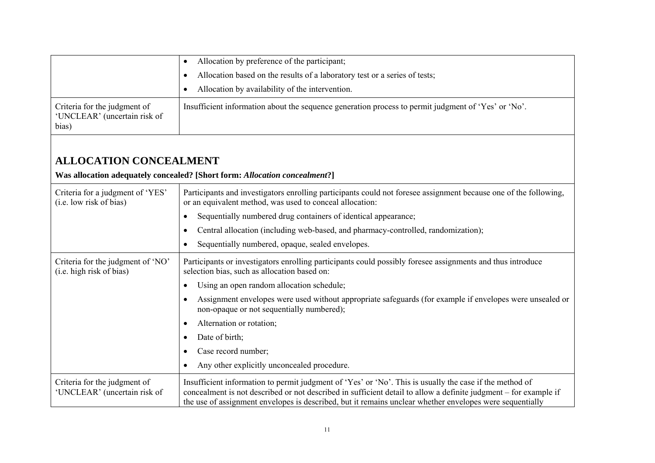|                                                                       | Allocation by preference of the participant;<br>Allocation based on the results of a laboratory test or a series of tests;<br>Allocation by availability of the intervention. |
|-----------------------------------------------------------------------|-------------------------------------------------------------------------------------------------------------------------------------------------------------------------------|
| Criteria for the judgment of<br>'UNCLEAR' (uncertain risk of<br>bias) | Insufficient information about the sequence generation process to permit judgment of 'Yes' or 'No'.                                                                           |

## **ALLOCATION CONCEALMENT**

## **Was allocation adequately concealed? [Short form:** *Allocation concealment***?]**

| Criteria for a judgment of 'YES'<br>(i.e. low risk of bias)   | Participants and investigators enrolling participants could not foresee assignment because one of the following,<br>or an equivalent method, was used to conceal allocation:<br>Sequentially numbered drug containers of identical appearance;                                                                                          |  |
|---------------------------------------------------------------|-----------------------------------------------------------------------------------------------------------------------------------------------------------------------------------------------------------------------------------------------------------------------------------------------------------------------------------------|--|
|                                                               | Central allocation (including web-based, and pharmacy-controlled, randomization);<br>٠                                                                                                                                                                                                                                                  |  |
|                                                               | Sequentially numbered, opaque, sealed envelopes.                                                                                                                                                                                                                                                                                        |  |
| Criteria for the judgment of 'NO'<br>(i.e. high risk of bias) | Participants or investigators enrolling participants could possibly foresee assignments and thus introduce<br>selection bias, such as allocation based on:                                                                                                                                                                              |  |
|                                                               | Using an open random allocation schedule;                                                                                                                                                                                                                                                                                               |  |
|                                                               | Assignment envelopes were used without appropriate safeguards (for example if envelopes were unsealed or<br>non-opaque or not sequentially numbered);                                                                                                                                                                                   |  |
|                                                               | Alternation or rotation;                                                                                                                                                                                                                                                                                                                |  |
|                                                               | Date of birth;                                                                                                                                                                                                                                                                                                                          |  |
|                                                               | Case record number;                                                                                                                                                                                                                                                                                                                     |  |
|                                                               | Any other explicitly unconcealed procedure.                                                                                                                                                                                                                                                                                             |  |
| Criteria for the judgment of<br>'UNCLEAR' (uncertain risk of  | Insufficient information to permit judgment of 'Yes' or 'No'. This is usually the case if the method of<br>concealment is not described or not described in sufficient detail to allow a definite judgment – for example if<br>the use of assignment envelopes is described, but it remains unclear whether envelopes were sequentially |  |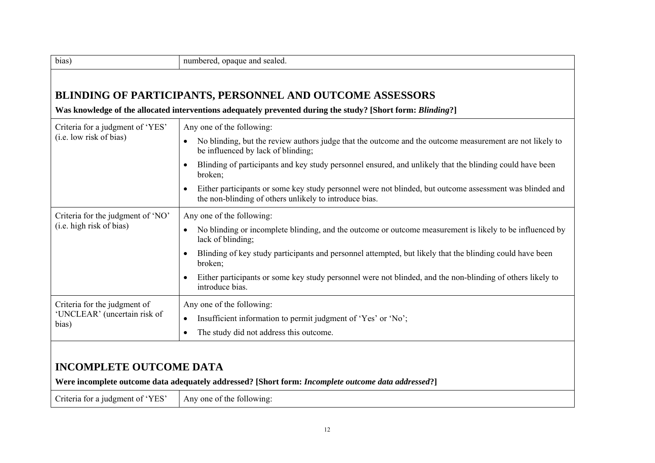| bias)                                                       | numbered, opaque and sealed.                                                                                                                                       |
|-------------------------------------------------------------|--------------------------------------------------------------------------------------------------------------------------------------------------------------------|
|                                                             |                                                                                                                                                                    |
|                                                             | BLINDING OF PARTICIPANTS, PERSONNEL AND OUTCOME ASSESSORS                                                                                                          |
|                                                             | Was knowledge of the allocated interventions adequately prevented during the study? [Short form: Blinding?]                                                        |
| Criteria for a judgment of 'YES'<br>(i.e. low risk of bias) | Any one of the following:                                                                                                                                          |
|                                                             | No blinding, but the review authors judge that the outcome and the outcome measurement are not likely to<br>be influenced by lack of blinding;                     |
|                                                             | Blinding of participants and key study personnel ensured, and unlikely that the blinding could have been<br>٠<br>broken;                                           |
|                                                             | Either participants or some key study personnel were not blinded, but outcome assessment was blinded and<br>the non-blinding of others unlikely to introduce bias. |
| Criteria for the judgment of 'NO'                           | Any one of the following:                                                                                                                                          |
| (i.e. high risk of bias)                                    | No blinding or incomplete blinding, and the outcome or outcome measurement is likely to be influenced by<br>$\bullet$<br>lack of blinding;                         |
|                                                             | Blinding of key study participants and personnel attempted, but likely that the blinding could have been<br>$\bullet$<br>broken;                                   |
|                                                             | Either participants or some key study personnel were not blinded, and the non-blinding of others likely to<br>$\bullet$<br>introduce bias.                         |
| Criteria for the judgment of                                | Any one of the following:                                                                                                                                          |
| 'UNCLEAR' (uncertain risk of<br>bias)                       | Insufficient information to permit judgment of 'Yes' or 'No';<br>$\bullet$                                                                                         |
|                                                             | The study did not address this outcome.<br>$\bullet$                                                                                                               |
|                                                             |                                                                                                                                                                    |
| <b>INCOMPLETE OUTCOME DATA</b>                              |                                                                                                                                                                    |
|                                                             | Were incomplete outcome data adequately addressed? [Short form: Incomplete outcome data addressed?]                                                                |

Criteria for a judgment of 'YES'  $\Big|$  Any one of the following: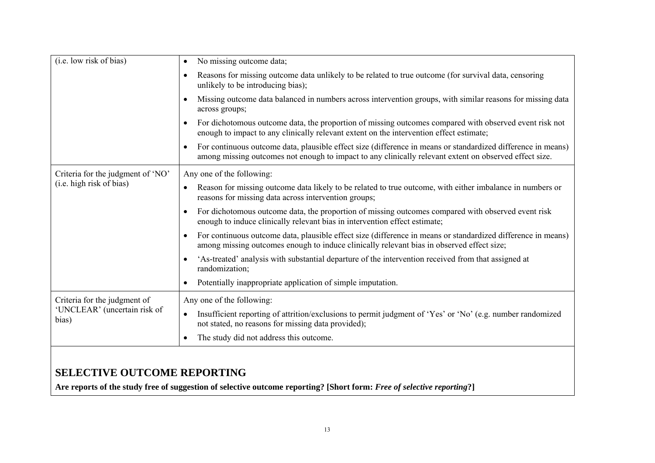| (i.e. low risk of bias)                                               | No missing outcome data;<br>$\bullet$                                                                                                                                                                                               |  |
|-----------------------------------------------------------------------|-------------------------------------------------------------------------------------------------------------------------------------------------------------------------------------------------------------------------------------|--|
|                                                                       | Reasons for missing outcome data unlikely to be related to true outcome (for survival data, censoring<br>$\bullet$<br>unlikely to be introducing bias);                                                                             |  |
|                                                                       | Missing outcome data balanced in numbers across intervention groups, with similar reasons for missing data<br>across groups;                                                                                                        |  |
|                                                                       | For dichotomous outcome data, the proportion of missing outcomes compared with observed event risk not<br>enough to impact to any clinically relevant extent on the intervention effect estimate;                                   |  |
|                                                                       | For continuous outcome data, plausible effect size (difference in means or standardized difference in means)<br>$\bullet$<br>among missing outcomes not enough to impact to any clinically relevant extent on observed effect size. |  |
| Criteria for the judgment of 'NO'                                     | Any one of the following:                                                                                                                                                                                                           |  |
| (i.e. high risk of bias)                                              | Reason for missing outcome data likely to be related to true outcome, with either imbalance in numbers or<br>$\bullet$<br>reasons for missing data across intervention groups;                                                      |  |
|                                                                       | For dichotomous outcome data, the proportion of missing outcomes compared with observed event risk<br>enough to induce clinically relevant bias in intervention effect estimate;                                                    |  |
|                                                                       | For continuous outcome data, plausible effect size (difference in means or standardized difference in means)<br>$\bullet$<br>among missing outcomes enough to induce clinically relevant bias in observed effect size;              |  |
|                                                                       | 'As-treated' analysis with substantial departure of the intervention received from that assigned at<br>randomization;                                                                                                               |  |
|                                                                       | Potentially inappropriate application of simple imputation.                                                                                                                                                                         |  |
| Criteria for the judgment of<br>'UNCLEAR' (uncertain risk of<br>bias) | Any one of the following:                                                                                                                                                                                                           |  |
|                                                                       | Insufficient reporting of attrition/exclusions to permit judgment of 'Yes' or 'No' (e.g. number randomized<br>$\bullet$<br>not stated, no reasons for missing data provided);                                                       |  |
|                                                                       | The study did not address this outcome.                                                                                                                                                                                             |  |
|                                                                       |                                                                                                                                                                                                                                     |  |

## **SELECTIVE OUTCOME REPORTING**

**Are reports of the study free of suggestion of selective outcome reporting? [Short form:** *Free of selective reporting***?]**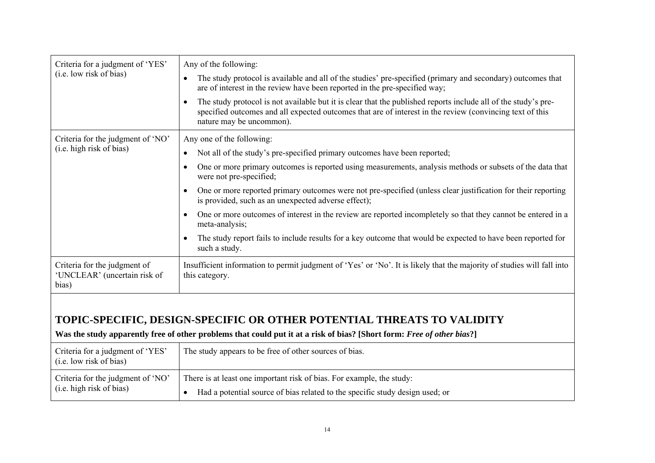| Criteria for a judgment of 'YES'                                      | Any of the following:                                                                                                                                                                                                                                               |
|-----------------------------------------------------------------------|---------------------------------------------------------------------------------------------------------------------------------------------------------------------------------------------------------------------------------------------------------------------|
| (i.e. low risk of bias)                                               | The study protocol is available and all of the studies' pre-specified (primary and secondary) outcomes that<br>are of interest in the review have been reported in the pre-specified way;                                                                           |
|                                                                       | The study protocol is not available but it is clear that the published reports include all of the study's pre-<br>$\bullet$<br>specified outcomes and all expected outcomes that are of interest in the review (convincing text of this<br>nature may be uncommon). |
| Criteria for the judgment of 'NO'                                     | Any one of the following:                                                                                                                                                                                                                                           |
| (i.e. high risk of bias)                                              | Not all of the study's pre-specified primary outcomes have been reported;<br>$\bullet$                                                                                                                                                                              |
|                                                                       | One or more primary outcomes is reported using measurements, analysis methods or subsets of the data that<br>$\bullet$<br>were not pre-specified;                                                                                                                   |
|                                                                       | One or more reported primary outcomes were not pre-specified (unless clear justification for their reporting<br>٠<br>is provided, such as an unexpected adverse effect);                                                                                            |
|                                                                       | One or more outcomes of interest in the review are reported incompletely so that they cannot be entered in a<br>meta-analysis;                                                                                                                                      |
|                                                                       | The study report fails to include results for a key outcome that would be expected to have been reported for<br>$\bullet$<br>such a study.                                                                                                                          |
| Criteria for the judgment of<br>'UNCLEAR' (uncertain risk of<br>bias) | Insufficient information to permit judgment of 'Yes' or 'No'. It is likely that the majority of studies will fall into<br>this category.                                                                                                                            |
|                                                                       |                                                                                                                                                                                                                                                                     |
|                                                                       | TOPIC-SPECIFIC, DESIGN-SPECIFIC OR OTHER POTENTIAL THREATS TO VALIDITY                                                                                                                                                                                              |
|                                                                       | Was the study apparently free of other problems that could put it at a risk of bias? [Short form: Free of other bias?]                                                                                                                                              |
| Criteria for a judgment of 'YES'<br>(i.e. low risk of bias)           | The study appears to be free of other sources of bias.                                                                                                                                                                                                              |
| Criteria for the judgment of 'NO'                                     | There is at least one important risk of bias. For example, the study:                                                                                                                                                                                               |
| (i.e. high risk of bias)                                              | Had a potential source of bias related to the specific study design used; or<br>$\bullet$                                                                                                                                                                           |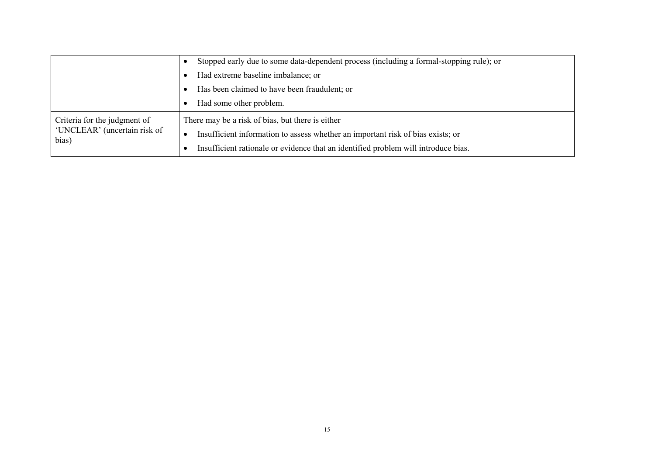|                                                                       | Stopped early due to some data-dependent process (including a formal-stopping rule); or |
|-----------------------------------------------------------------------|-----------------------------------------------------------------------------------------|
|                                                                       | Had extreme baseline imbalance; or                                                      |
|                                                                       | Has been claimed to have been fraudulent; or                                            |
|                                                                       | Had some other problem.                                                                 |
| Criteria for the judgment of<br>'UNCLEAR' (uncertain risk of<br>bias) | There may be a risk of bias, but there is either                                        |
|                                                                       | Insufficient information to assess whether an important risk of bias exists; or<br>٠    |
|                                                                       | Insufficient rationale or evidence that an identified problem will introduce bias.      |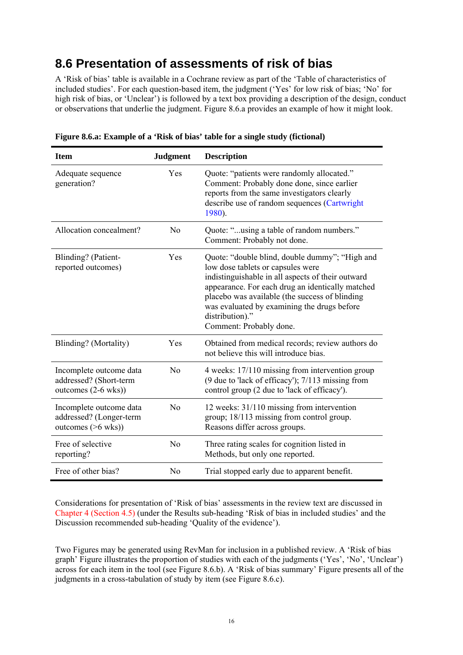## <span id="page-16-0"></span>**8.6 Presentation of assessments of risk of bias**

A 'Risk of bias' table is available in a Cochrane review as part of the 'Table of characteristics of included studies'. For each question-based item, the judgment ('Yes' for low risk of bias; 'No' for high risk of bias, or 'Unclear') is followed by a text box providing a description of the design, conduct or observations that underlie the judgment. [Figure 8.6.a](#page-16-1) provides an example of how it might look.

| <b>Item</b>                                                                     | <b>Judgment</b> | <b>Description</b>                                                                                                                                                                                                                                                                                                                          |
|---------------------------------------------------------------------------------|-----------------|---------------------------------------------------------------------------------------------------------------------------------------------------------------------------------------------------------------------------------------------------------------------------------------------------------------------------------------------|
| Adequate sequence<br>generation?                                                | Yes             | Quote: "patients were randomly allocated."<br>Comment: Probably done done, since earlier<br>reports from the same investigators clearly<br>describe use of random sequences (Cartwright<br>1980).                                                                                                                                           |
| Allocation concealment?                                                         | N <sub>0</sub>  | Quote: "using a table of random numbers."<br>Comment: Probably not done.                                                                                                                                                                                                                                                                    |
| Blinding? (Patient-<br>reported outcomes)                                       | Yes             | Quote: "double blind, double dummy"; "High and<br>low dose tablets or capsules were<br>indistinguishable in all aspects of their outward<br>appearance. For each drug an identically matched<br>placebo was available (the success of blinding<br>was evaluated by examining the drugs before<br>distribution)."<br>Comment: Probably done. |
| Blinding? (Mortality)                                                           | Yes             | Obtained from medical records; review authors do<br>not believe this will introduce bias.                                                                                                                                                                                                                                                   |
| Incomplete outcome data<br>addressed? (Short-term<br>outcomes $(2-6$ wks))      | N <sub>o</sub>  | 4 weeks: 17/110 missing from intervention group<br>(9 due to 'lack of efficacy'); 7/113 missing from<br>control group (2 due to 'lack of efficacy').                                                                                                                                                                                        |
| Incomplete outcome data<br>addressed? (Longer-term<br>outcomes $($ >6 wks $)$ ) | N <sub>0</sub>  | 12 weeks: 31/110 missing from intervention<br>group; 18/113 missing from control group.<br>Reasons differ across groups.                                                                                                                                                                                                                    |
| Free of selective<br>reporting?                                                 | No              | Three rating scales for cognition listed in<br>Methods, but only one reported.                                                                                                                                                                                                                                                              |
| Free of other bias?                                                             | N <sub>o</sub>  | Trial stopped early due to apparent benefit.                                                                                                                                                                                                                                                                                                |

<span id="page-16-1"></span>**Figure 8.6.a: Example of a 'Risk of bias' table for a single study (fictional)** 

Considerations for presentation of 'Risk of bias' assessments in the review text are discussed in Chapter 4 (Section 4.5) (under the Results sub-heading 'Risk of bias in included studies' and the Discussion recommended sub-heading 'Quality of the evidence').

Two Figures may be generated using RevMan for inclusion in a published review. A 'Risk of bias graph' Figure illustrates the proportion of studies with each of the judgments ('Yes', 'No', 'Unclear') across for each item in the tool (see [Figure 8.6.b\)](#page-17-1). A 'Risk of bias summary' Figure presents all of the judgments in a cross-tabulation of study by item (see [Figure 8.6.c\)](#page-17-2).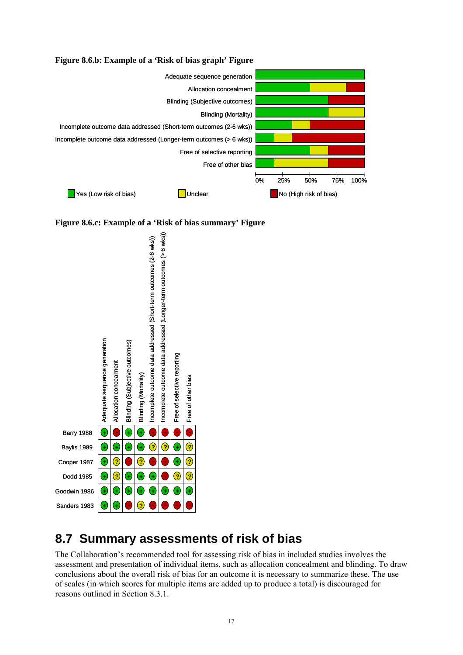

#### <span id="page-17-1"></span><span id="page-17-0"></span>**Figure 8.6.b: Example of a 'Risk of bias graph' Figure**

<span id="page-17-2"></span>



## <span id="page-17-3"></span>**8.7 Summary assessments of risk of bias**

The Collaboration's recommended tool for assessing risk of bias in included studies involves the assessment and presentation of individual items, such as allocation concealment and blinding. To draw conclusions about the overall risk of bias for an outcome it is necessary to summarize these. The use of scales (in which scores for multiple items are added up to produce a total) is discouraged for reasons outlined in Section [8.3.1.](#page-3-1)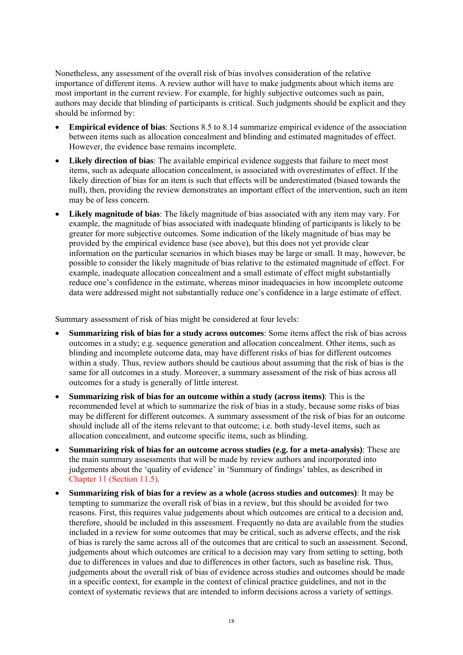Nonetheless, any assessment of the overall risk of bias involves consideration of the relative importance of different items. A review author will have to make judgments about which items are most important in the current review. For example, for highly subjective outcomes such as pain, authors may decide that blinding of participants is critical. Such judgments should be explicit and they should be informed by:

- **Empirical evidence of bias**: Sections [8.5](#page-22-2) to [8.14](#page-38-1) summarize empirical evidence of the association between items such as allocation concealment and blinding and estimated magnitudes of effect. However, the evidence base remains incomplete.
- **Likely direction of bias**: The available empirical evidence suggests that failure to meet most items, such as adequate allocation concealment, is associated with overestimates of effect. If the likely direction of bias for an item is such that effects will be underestimated (biased towards the null), then, providing the review demonstrates an important effect of the intervention, such an item may be of less concern.
- **Likely magnitude of bias**: The likely magnitude of bias associated with any item may vary. For example, the magnitude of bias associated with inadequate blinding of participants is likely to be greater for more subjective outcomes. Some indication of the likely magnitude of bias may be provided by the empirical evidence base (see above), but this does not yet provide clear information on the particular scenarios in which biases may be large or small. It may, however, be possible to consider the likely magnitude of bias relative to the estimated magnitude of effect. For example, inadequate allocation concealment and a small estimate of effect might substantially reduce one's confidence in the estimate, whereas minor inadequacies in how incomplete outcome data were addressed might not substantially reduce one's confidence in a large estimate of effect.

Summary assessment of risk of bias might be considered at four levels:

- **Summarizing risk of bias for a study across outcomes**: Some items affect the risk of bias across outcomes in a study; e.g. sequence generation and allocation concealment. Other items, such as blinding and incomplete outcome data, may have different risks of bias for different outcomes within a study. Thus, review authors should be cautious about assuming that the risk of bias is the same for all outcomes in a study. Moreover, a summary assessment of the risk of bias across all outcomes for a study is generally of little interest.
- **Summarizing risk of bias for an outcome within a study (across items)**: This is the recommended level at which to summarize the risk of bias in a study, because some risks of bias may be different for different outcomes. A summary assessment of the risk of bias for an outcome should include all of the items relevant to that outcome; i.e. both study-level items, such as allocation concealment, and outcome specific items, such as blinding.
- **Summarizing risk of bias for an outcome across studies (e.g. for a meta-analysis)**: These are the main summary assessments that will be made by review authors and incorporated into judgements about the 'quality of evidence' in 'Summary of findings' tables, as described in Chapter 11 (Section 11.5).
- **Summarizing risk of bias for a review as a whole (across studies and outcomes)**: It may be tempting to summarize the overall risk of bias in a review, but this should be avoided for two reasons. First, this requires value judgements about which outcomes are critical to a decision and, therefore, should be included in this assessment. Frequently no data are available from the studies included in a review for some outcomes that may be critical, such as adverse effects, and the risk of bias is rarely the same across all of the outcomes that are critical to such an assessment. Second, judgements about which outcomes are critical to a decision may vary from setting to setting, both due to differences in values and due to differences in other factors, such as baseline risk. Thus, judgements about the overall risk of bias of evidence across studies and outcomes should be made in a specific context, for example in the context of clinical practice guidelines, and not in the context of systematic reviews that are intended to inform decisions across a variety of settings.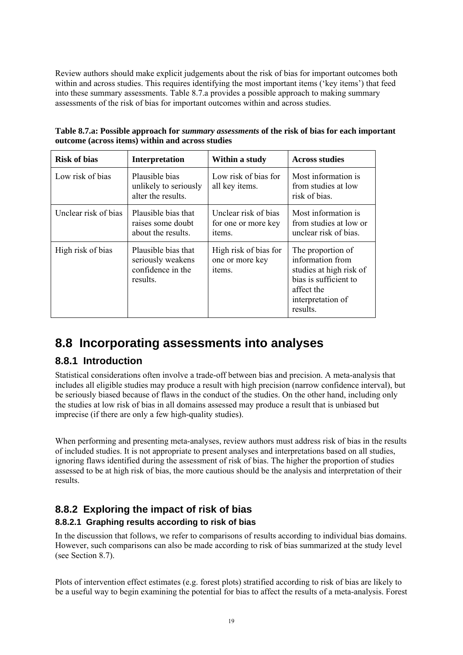<span id="page-19-0"></span>Review authors should make explicit judgements about the risk of bias for important outcomes both within and across studies. This requires identifying the most important items ('key items') that feed into these summary assessments. [Table 8.7.a p](#page-19-1)rovides a possible approach to making summary assessments of the risk of bias for important outcomes within and across studies.

| <b>Risk of bias</b>  | Interpretation                                                            | Within a study                                        | <b>Across studies</b>                                                                                                                    |
|----------------------|---------------------------------------------------------------------------|-------------------------------------------------------|------------------------------------------------------------------------------------------------------------------------------------------|
| Low risk of bias     | Plausible bias<br>unlikely to seriously<br>alter the results.             | Low risk of bias for<br>all key items.                | Most information is<br>from studies at low<br>risk of bias.                                                                              |
| Unclear risk of bias | Plausible bias that<br>raises some doubt<br>about the results.            | Unclear risk of bias<br>for one or more key<br>items. | Most information is<br>from studies at low or<br>unclear risk of bias.                                                                   |
| High risk of bias    | Plausible bias that<br>seriously weakens<br>confidence in the<br>results. | High risk of bias for<br>one or more key<br>items.    | The proportion of<br>information from<br>studies at high risk of<br>bias is sufficient to<br>affect the<br>interpretation of<br>results. |

<span id="page-19-1"></span>**Table 8.7.a: Possible approach for** *summary assessments* **of the risk of bias for each important outcome (across items) within and across studies** 

## **8.8 Incorporating assessments into analyses**

## **8.8.1 Introduction**

Statistical considerations often involve a trade-off between bias and precision. A meta-analysis that includes all eligible studies may produce a result with high precision (narrow confidence interval), but be seriously biased because of flaws in the conduct of the studies. On the other hand, including only the studies at low risk of bias in all domains assessed may produce a result that is unbiased but imprecise (if there are only a few high-quality studies).

When performing and presenting meta-analyses, review authors must address risk of bias in the results of included studies. It is not appropriate to present analyses and interpretations based on all studies, ignoring flaws identified during the assessment of risk of bias. The higher the proportion of studies assessed to be at high risk of bias, the more cautious should be the analysis and interpretation of their results.

## **8.8.2 Exploring the impact of risk of bias**

### **8.8.2.1 Graphing results according to risk of bias**

In the discussion that follows, we refer to comparisons of results according to individual bias domains. However, such comparisons can also be made according to risk of bias summarized at the study level (see Section [8.7\)](#page-17-3).

Plots of intervention effect estimates (e.g. forest plots) stratified according to risk of bias are likely to be a useful way to begin examining the potential for bias to affect the results of a meta-analysis. Forest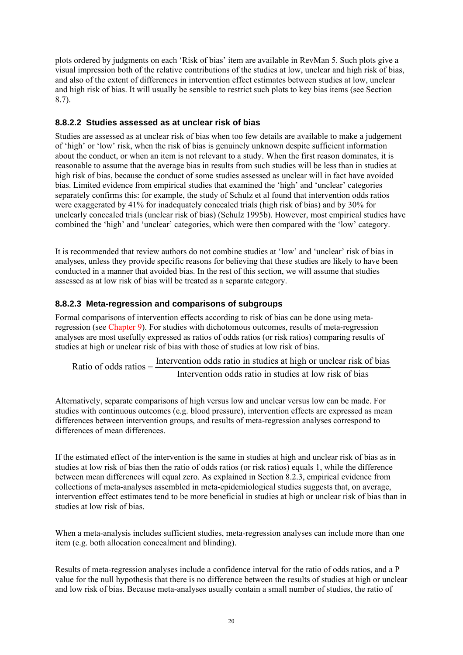plots ordered by judgments on each 'Risk of bias' item are available in RevMan 5. Such plots give a visual impression both of the relative contributions of the studies at low, unclear and high risk of bias, and also of the extent of differences in intervention effect estimates between studies at low, unclear and high risk of bias. It will usually be sensible to restrict such plots to key bias items (see Section [8.7\)](#page-17-3).

#### **8.8.2.2 Studies assessed as at unclear risk of bias**

Studies are assessed as at unclear risk of bias when too few details are available to make a judgement of 'high' or 'low' risk, when the risk of bias is genuinely unknown despite sufficient information about the conduct, or when an item is not relevant to a study. When the first reason dominates, it is reasonable to assume that the average bias in results from such studies will be less than in studies at high risk of bias, because the conduct of some studies assessed as unclear will in fact have avoided bias. Limited evidence from empirical studies that examined the 'high' and 'unclear' categories separately confirms this: for example, the study of Schulz et al found that intervention odds ratios were exaggerated by 41% for inadequately concealed trials (high risk of bias) and by 30% for unclearly concealed trials (unclear risk of bias) (Schulz 1995b). However, most empirical studies have combined the 'high' and 'unclear' categories, which were then compared with the 'low' category.

It is recommended that review authors do not combine studies at 'low' and 'unclear' risk of bias in analyses, unless they provide specific reasons for believing that these studies are likely to have been conducted in a manner that avoided bias. In the rest of this section, we will assume that studies assessed as at low risk of bias will be treated as a separate category.

#### **8.8.2.3 Meta-regression and comparisons of subgroups**

Formal comparisons of intervention effects according to risk of bias can be done using metaregression (see Chapter 9). For studies with dichotomous outcomes, results of meta-regression analyses are most usefully expressed as ratios of odds ratios (or risk ratios) comparing results of studies at high or unclear risk of bias with those of studies at low risk of bias.

Ratio of odds ratios  $=$  Intervention odds ratio in studies at high or unclear risk of bias<br>Intervention odds ratio in studies at low risk of bias

Alternatively, separate comparisons of high versus low and unclear versus low can be made. For studies with continuous outcomes (e.g. blood pressure), intervention effects are expressed as mean differences between intervention groups, and results of meta-regression analyses correspond to differences of mean differences.

If the estimated effect of the intervention is the same in studies at high and unclear risk of bias as in studies at low risk of bias then the ratio of odds ratios (or risk ratios) equals 1, while the difference between mean differences will equal zero. As explained in Section [8.2.3,](#page-2-1) empirical evidence from collections of meta-analyses assembled in meta-epidemiological studies suggests that, on average, intervention effect estimates tend to be more beneficial in studies at high or unclear risk of bias than in studies at low risk of bias.

When a meta-analysis includes sufficient studies, meta-regression analyses can include more than one item (e.g. both allocation concealment and blinding).

Results of meta-regression analyses include a confidence interval for the ratio of odds ratios, and a P value for the null hypothesis that there is no difference between the results of studies at high or unclear and low risk of bias. Because meta-analyses usually contain a small number of studies, the ratio of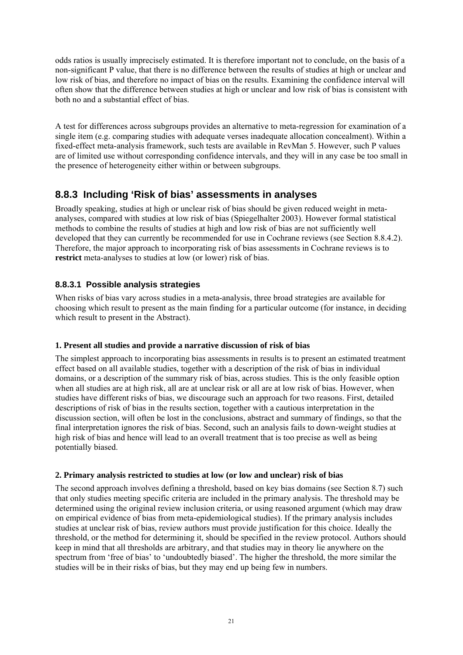<span id="page-21-0"></span>odds ratios is usually imprecisely estimated. It is therefore important not to conclude, on the basis of a non-significant P value, that there is no difference between the results of studies at high or unclear and low risk of bias, and therefore no impact of bias on the results. Examining the confidence interval will often show that the difference between studies at high or unclear and low risk of bias is consistent with both no and a substantial effect of bias.

A test for differences across subgroups provides an alternative to meta-regression for examination of a single item (e.g. comparing studies with adequate verses inadequate allocation concealment). Within a fixed-effect meta-analysis framework, such tests are available in RevMan 5. However, such P values are of limited use without corresponding confidence intervals, and they will in any case be too small in the presence of heterogeneity either within or between subgroups.

## **8.8.3 Including 'Risk of bias' assessments in analyses**

Broadly speaking, studies at high or unclear risk of bias should be given reduced weight in metaanalyses, compared with studies at low risk of bias (Spiegelhalter 2003). However formal statistical methods to combine the results of studies at high and low risk of bias are not sufficiently well developed that they can currently be recommended for use in Cochrane reviews (see Section [8.8.4.2\)](#page-22-3). Therefore, the major approach to incorporating risk of bias assessments in Cochrane reviews is to **restrict** meta-analyses to studies at low (or lower) risk of bias.

### **8.8.3.1 Possible analysis strategies**

When risks of bias vary across studies in a meta-analysis, three broad strategies are available for choosing which result to present as the main finding for a particular outcome (for instance, in deciding which result to present in the Abstract).

### **1. Present all studies and provide a narrative discussion of risk of bias**

The simplest approach to incorporating bias assessments in results is to present an estimated treatment effect based on all available studies, together with a description of the risk of bias in individual domains, or a description of the summary risk of bias, across studies. This is the only feasible option when all studies are at high risk, all are at unclear risk or all are at low risk of bias. However, when studies have different risks of bias, we discourage such an approach for two reasons. First, detailed descriptions of risk of bias in the results section, together with a cautious interpretation in the discussion section, will often be lost in the conclusions, abstract and summary of findings, so that the final interpretation ignores the risk of bias. Second, such an analysis fails to down-weight studies at high risk of bias and hence will lead to an overall treatment that is too precise as well as being potentially biased.

#### **2. Primary analysis restricted to studies at low (or low and unclear) risk of bias**

The second approach involves defining a threshold, based on key bias domains (see Section [8.7\)](#page-17-3) such that only studies meeting specific criteria are included in the primary analysis. The threshold may be determined using the original review inclusion criteria, or using reasoned argument (which may draw on empirical evidence of bias from meta-epidemiological studies). If the primary analysis includes studies at unclear risk of bias, review authors must provide justification for this choice. Ideally the threshold, or the method for determining it, should be specified in the review protocol. Authors should keep in mind that all thresholds are arbitrary, and that studies may in theory lie anywhere on the spectrum from 'free of bias' to 'undoubtedly biased'. The higher the threshold, the more similar the studies will be in their risks of bias, but they may end up being few in numbers.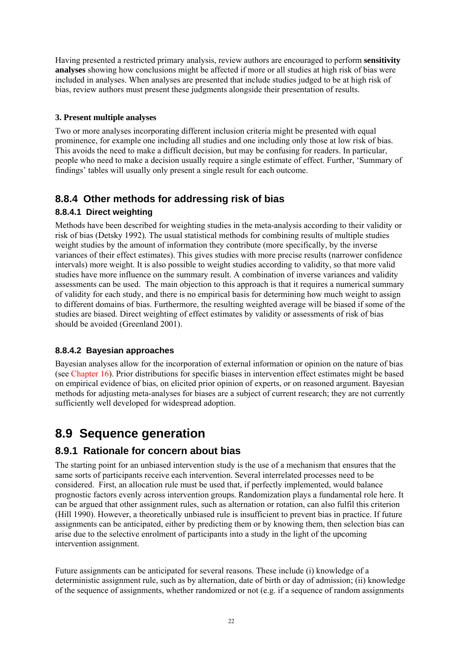<span id="page-22-0"></span>Having presented a restricted primary analysis, review authors are encouraged to perform **sensitivity analyses** showing how conclusions might be affected if more or all studies at high risk of bias were included in analyses. When analyses are presented that include studies judged to be at high risk of bias, review authors must present these judgments alongside their presentation of results.

#### **3. Present multiple analyses**

Two or more analyses incorporating different inclusion criteria might be presented with equal prominence, for example one including all studies and one including only those at low risk of bias. This avoids the need to make a difficult decision, but may be confusing for readers. In particular, people who need to make a decision usually require a single estimate of effect. Further, 'Summary of findings' tables will usually only present a single result for each outcome.

## **8.8.4 Other methods for addressing risk of bias**

### **8.8.4.1 Direct weighting**

Methods have been described for weighting studies in the meta-analysis according to their validity or risk of bias (Detsky 1992). The usual statistical methods for combining results of multiple studies weight studies by the amount of information they contribute (more specifically, by the inverse variances of their effect estimates). This gives studies with more precise results (narrower confidence intervals) more weight. It is also possible to weight studies according to validity, so that more valid studies have more influence on the summary result. A combination of inverse variances and validity assessments can be used. The main objection to this approach is that it requires a numerical summary of validity for each study, and there is no empirical basis for determining how much weight to assign to different domains of bias. Furthermore, the resulting weighted average will be biased if some of the studies are biased. Direct weighting of effect estimates by validity or assessments of risk of bias should be avoided (Greenland 2001).

### <span id="page-22-3"></span>**8.8.4.2 Bayesian approaches**

Bayesian analyses allow for the incorporation of external information or opinion on the nature of bias (see Chapter 16). Prior distributions for specific biases in intervention effect estimates might be based on empirical evidence of bias, on elicited prior opinion of experts, or on reasoned argument. Bayesian methods for adjusting meta-analyses for biases are a subject of current research; they are not currently sufficiently well developed for widespread adoption.

## <span id="page-22-1"></span>**8.9 Sequence generation**

## **8.9.1 Rationale for concern about bias**

The starting point for an unbiased intervention study is the use of a mechanism that ensures that the same sorts of participants receive each intervention. Several interrelated processes need to be considered. First, an allocation rule must be used that, if perfectly implemented, would balance prognostic factors evenly across intervention groups. Randomization plays a fundamental role here. It can be argued that other assignment rules, such as alternation or rotation, can also fulfil this criterion (Hill 1990). However, a theoretically unbiased rule is insufficient to prevent bias in practice. If future assignments can be anticipated, either by predicting them or by knowing them, then selection bias can arise due to the selective enrolment of participants into a study in the light of the upcoming intervention assignment.

<span id="page-22-2"></span>Future assignments can be anticipated for several reasons. These include (i) knowledge of a deterministic assignment rule, such as by alternation, date of birth or day of admission; (ii) knowledge of the sequence of assignments, whether randomized or not (e.g. if a sequence of random assignments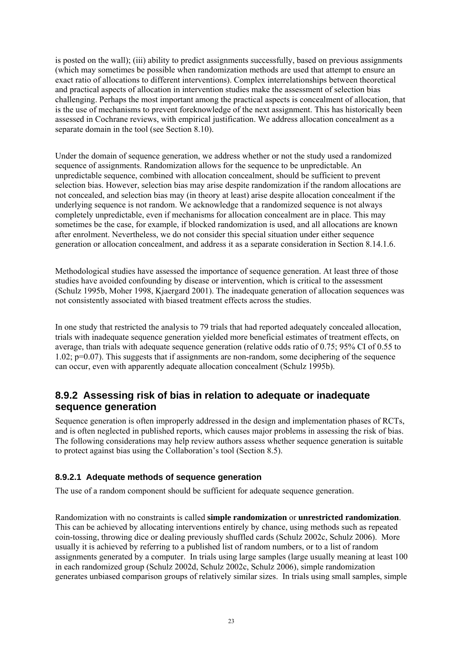<span id="page-23-0"></span>is posted on the wall); (iii) ability to predict assignments successfully, based on previous assignments (which may sometimes be possible when randomization methods are used that attempt to ensure an exact ratio of allocations to different interventions). Complex interrelationships between theoretical and practical aspects of allocation in intervention studies make the assessment of selection bias challenging. Perhaps the most important among the practical aspects is concealment of allocation, that is the use of mechanisms to prevent foreknowledge of the next assignment. This has historically been assessed in Cochrane reviews, with empirical justification. We address allocation concealment as a separate domain in the tool (see Section [8.10\)](#page-25-2).

Under the domain of sequence generation, we address whether or not the study used a randomized sequence of assignments. Randomization allows for the sequence to be unpredictable. An unpredictable sequence, combined with allocation concealment, should be sufficient to prevent selection bias. However, selection bias may arise despite randomization if the random allocations are not concealed, and selection bias may (in theory at least) arise despite allocation concealment if the underlying sequence is not random. We acknowledge that a randomized sequence is not always completely unpredictable, even if mechanisms for allocation concealment are in place. This may sometimes be the case, for example, if blocked randomization is used, and all allocations are known after enrolment. Nevertheless, we do not consider this special situation under either sequence generation or allocation concealment, and address it as a separate consideration in Section [8.14.1.6.](#page-43-0)

Methodological studies have assessed the importance of sequence generation. At least three of those studies have avoided confounding by disease or intervention, which is critical to the assessment (Schulz 1995b, Moher 1998, Kjaergard 2001). The inadequate generation of allocation sequences was not consistently associated with biased treatment effects across the studies.

In one study that restricted the analysis to 79 trials that had reported adequately concealed allocation, trials with inadequate sequence generation yielded more beneficial estimates of treatment effects, on average, than trials with adequate sequence generation (relative odds ratio of 0.75; 95% CI of 0.55 to 1.02; p=0.07). This suggests that if assignments are non-random, some deciphering of the sequence can occur, even with apparently adequate allocation concealment (Schulz 1995b).

### **8.9.2 Assessing risk of bias in relation to adequate or inadequate sequence generation**

Sequence generation is often improperly addressed in the design and implementation phases of RCTs, and is often neglected in published reports, which causes major problems in assessing the risk of bias. The following considerations may help review authors assess whether sequence generation is suitable to protect against bias using the Collaboration's tool (Section [8.5\)](#page-6-1).

### **8.9.2.1 Adequate methods of sequence generation**

The use of a random component should be sufficient for adequate sequence generation.

Randomization with no constraints is called **simple randomization** or **unrestricted randomization**. This can be achieved by allocating interventions entirely by chance, using methods such as repeated coin-tossing, throwing dice or dealing previously shuffled cards (Schulz 2002c, Schulz 2006). More usually it is achieved by referring to a published list of random numbers, or to a list of random assignments generated by a computer. In trials using large samples (large usually meaning at least 100 in each randomized group (Schulz 2002d, Schulz 2002c, Schulz 2006), simple randomization generates unbiased comparison groups of relatively similar sizes. In trials using small samples, simple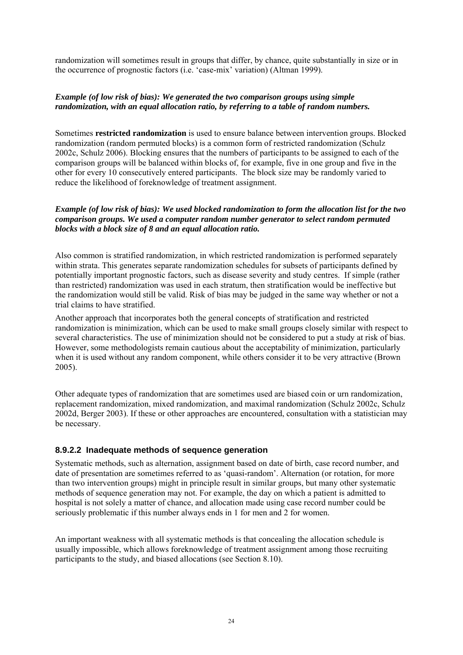randomization will sometimes result in groups that differ, by chance, quite substantially in size or in the occurrence of prognostic factors (i.e. 'case-mix' variation) (Altman 1999).

#### *Example (of low risk of bias): We generated the two comparison groups using simple randomization, with an equal allocation ratio, by referring to a table of random numbers.*

Sometimes **restricted randomization** is used to ensure balance between intervention groups. Blocked randomization (random permuted blocks) is a common form of restricted randomization (Schulz 2002c, Schulz 2006). Blocking ensures that the numbers of participants to be assigned to each of the comparison groups will be balanced within blocks of, for example, five in one group and five in the other for every 10 consecutively entered participants. The block size may be randomly varied to reduce the likelihood of foreknowledge of treatment assignment.

#### *Example (of low risk of bias): We used blocked randomization to form the allocation list for the two comparison groups. We used a computer random number generator to select random permuted blocks with a block size of 8 and an equal allocation ratio.*

Also common is stratified randomization, in which restricted randomization is performed separately within strata. This generates separate randomization schedules for subsets of participants defined by potentially important prognostic factors, such as disease severity and study centres. If simple (rather than restricted) randomization was used in each stratum, then stratification would be ineffective but the randomization would still be valid. Risk of bias may be judged in the same way whether or not a trial claims to have stratified.

Another approach that incorporates both the general concepts of stratification and restricted randomization is minimization, which can be used to make small groups closely similar with respect to several characteristics. The use of minimization should not be considered to put a study at risk of bias. However, some methodologists remain cautious about the acceptability of minimization, particularly when it is used without any random component, while others consider it to be very attractive (Brown 2005).

Other adequate types of randomization that are sometimes used are biased coin or urn randomization, replacement randomization, mixed randomization, and maximal randomization (Schulz 2002c, Schulz 2002d, Berger 2003). If these or other approaches are encountered, consultation with a statistician may be necessary.

#### **8.9.2.2 Inadequate methods of sequence generation**

Systematic methods, such as alternation, assignment based on date of birth, case record number, and date of presentation are sometimes referred to as 'quasi-random'. Alternation (or rotation, for more than two intervention groups) might in principle result in similar groups, but many other systematic methods of sequence generation may not. For example, the day on which a patient is admitted to hospital is not solely a matter of chance, and allocation made using case record number could be seriously problematic if this number always ends in 1 for men and 2 for women.

An important weakness with all systematic methods is that concealing the allocation schedule is usually impossible, which allows foreknowledge of treatment assignment among those recruiting participants to the study, and biased allocations (see Section [8.10\)](#page-25-2).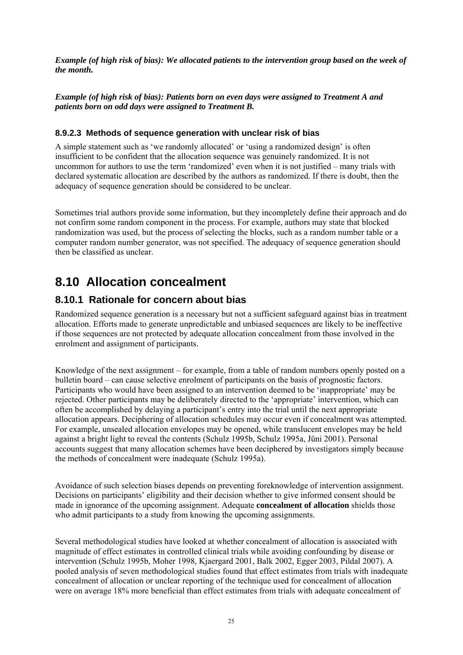<span id="page-25-0"></span>*Example (of high risk of bias): We allocated patients to the intervention group based on the week of the month.* 

*Example (of high risk of bias): Patients born on even days were assigned to Treatment A and patients born on odd days were assigned to Treatment B.* 

#### **8.9.2.3 Methods of sequence generation with unclear risk of bias**

A simple statement such as 'we randomly allocated' or 'using a randomized design' is often insufficient to be confident that the allocation sequence was genuinely randomized. It is not uncommon for authors to use the term 'randomized' even when it is not justified – many trials with declared systematic allocation are described by the authors as randomized. If there is doubt, then the adequacy of sequence generation should be considered to be unclear.

Sometimes trial authors provide some information, but they incompletely define their approach and do not confirm some random component in the process. For example, authors may state that blocked randomization was used, but the process of selecting the blocks, such as a random number table or a computer random number generator, was not specified. The adequacy of sequence generation should then be classified as unclear.

## <span id="page-25-2"></span>**8.10 Allocation concealment**

## <span id="page-25-1"></span>**8.10.1 Rationale for concern about bias**

Randomized sequence generation is a necessary but not a sufficient safeguard against bias in treatment allocation. Efforts made to generate unpredictable and unbiased sequences are likely to be ineffective if those sequences are not protected by adequate allocation concealment from those involved in the enrolment and assignment of participants.

Knowledge of the next assignment – for example, from a table of random numbers openly posted on a bulletin board – can cause selective enrolment of participants on the basis of prognostic factors. Participants who would have been assigned to an intervention deemed to be 'inappropriate' may be rejected. Other participants may be deliberately directed to the 'appropriate' intervention, which can often be accomplished by delaying a participant's entry into the trial until the next appropriate allocation appears. Deciphering of allocation schedules may occur even if concealment was attempted. For example, unsealed allocation envelopes may be opened, while translucent envelopes may be held against a bright light to reveal the contents (Schulz 1995b, Schulz 1995a, Jüni 2001). Personal accounts suggest that many allocation schemes have been deciphered by investigators simply because the methods of concealment were inadequate (Schulz 1995a).

Avoidance of such selection biases depends on preventing foreknowledge of intervention assignment. Decisions on participants' eligibility and their decision whether to give informed consent should be made in ignorance of the upcoming assignment. Adequate **concealment of allocation** shields those who admit participants to a study from knowing the upcoming assignments.

Several methodological studies have looked at whether concealment of allocation is associated with magnitude of effect estimates in controlled clinical trials while avoiding confounding by disease or intervention (Schulz 1995b, Moher 1998, Kjaergard 2001, Balk 2002, Egger 2003, Pildal 2007). A pooled analysis of seven methodological studies found that effect estimates from trials with inadequate concealment of allocation or unclear reporting of the technique used for concealment of allocation were on average 18% more beneficial than effect estimates from trials with adequate concealment of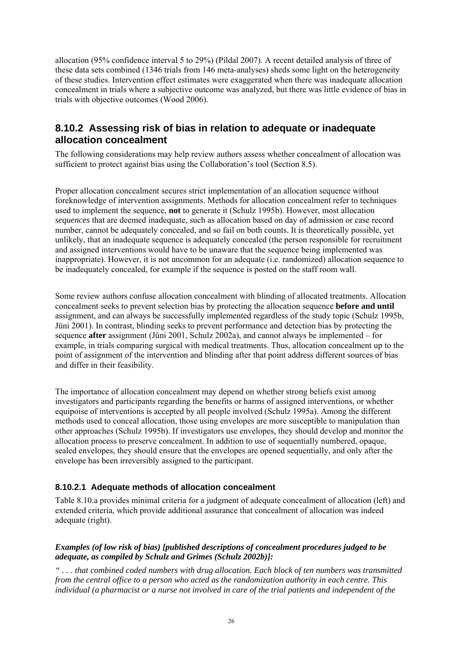<span id="page-26-0"></span>allocation (95% confidence interval 5 to 29%) (Pildal 2007). A recent detailed analysis of three of these data sets combined (1346 trials from 146 meta-analyses) sheds some light on the heterogeneity of these studies. Intervention effect estimates were exaggerated when there was inadequate allocation concealment in trials where a subjective outcome was analyzed, but there was little evidence of bias in trials with objective outcomes (Wood 2006).

### **8.10.2 Assessing risk of bias in relation to adequate or inadequate allocation concealment**

The following considerations may help review authors assess whether concealment of allocation was sufficient to protect against bias using the Collaboration's tool (Section [8.5\)](#page-6-1).

Proper allocation concealment secures strict implementation of an allocation sequence without foreknowledge of intervention assignments. Methods for allocation concealment refer to techniques used to implement the sequence, **not** to generate it (Schulz 1995b). However, most allocation *sequences* that are deemed inadequate, such as allocation based on day of admission or case record number, cannot be adequately concealed, and so fail on both counts. It is theoretically possible, yet unlikely, that an inadequate sequence is adequately concealed (the person responsible for recruitment and assigned interventions would have to be unaware that the sequence being implemented was inappropriate). However, it is not uncommon for an adequate (i.e. randomized) allocation sequence to be inadequately concealed, for example if the sequence is posted on the staff room wall.

Some review authors confuse allocation concealment with blinding of allocated treatments. Allocation concealment seeks to prevent selection bias by protecting the allocation sequence **before and until** assignment, and can always be successfully implemented regardless of the study topic (Schulz 1995b, Jüni 2001). In contrast, blinding seeks to prevent performance and detection bias by protecting the sequence **after** assignment (Jüni 2001, Schulz 2002a), and cannot always be implemented – for example, in trials comparing surgical with medical treatments. Thus, allocation concealment up to the point of assignment of the intervention and blinding after that point address different sources of bias and differ in their feasibility.

The importance of allocation concealment may depend on whether strong beliefs exist among investigators and participants regarding the benefits or harms of assigned interventions, or whether equipoise of interventions is accepted by all people involved (Schulz 1995a). Among the different methods used to conceal allocation, those using envelopes are more susceptible to manipulation than other approaches (Schulz 1995b). If investigators use envelopes, they should develop and monitor the allocation process to preserve concealment. In addition to use of sequentially numbered, opaque, sealed envelopes, they should ensure that the envelopes are opened sequentially, and only after the envelope has been irreversibly assigned to the participant.

### **8.10.2.1 Adequate methods of allocation concealment**

[Table 8.10.a](#page-27-1) provides minimal criteria for a judgment of adequate concealment of allocation (left) and extended criteria, which provide additional assurance that concealment of allocation was indeed adequate (right).

#### *Examples (of low risk of bias) [published descriptions of concealment procedures judged to be adequate, as compiled by Schulz and Grimes (Schulz 2002b)]:*

*" . . . that combined coded numbers with drug allocation. Each block of ten numbers was transmitted from the central office to a person who acted as the randomization authority in each centre. This individual (a pharmacist or a nurse not involved in care of the trial patients and independent of the*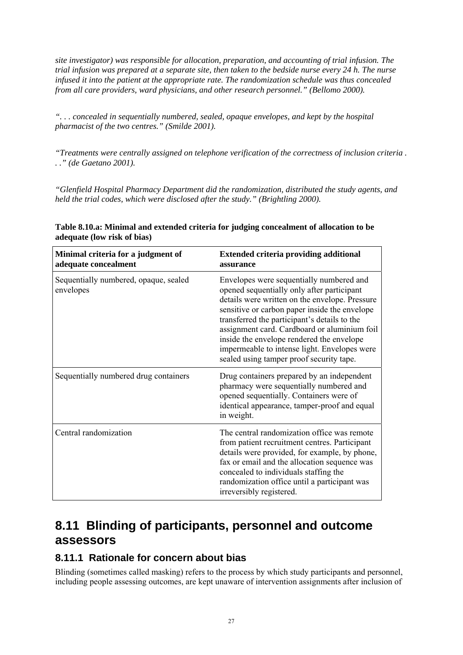<span id="page-27-0"></span>*site investigator) was responsible for allocation, preparation, and accounting of trial infusion. The trial infusion was prepared at a separate site, then taken to the bedside nurse every 24 h. The nurse infused it into the patient at the appropriate rate. The randomization schedule was thus concealed from all care providers, ward physicians, and other research personnel." (Bellomo 2000).* 

*". . . concealed in sequentially numbered, sealed, opaque envelopes, and kept by the hospital pharmacist of the two centres." (Smilde 2001).* 

*"Treatments were centrally assigned on telephone verification of the correctness of inclusion criteria . . ." (de Gaetano 2001).* 

*"Glenfield Hospital Pharmacy Department did the randomization, distributed the study agents, and held the trial codes, which were disclosed after the study." (Brightling 2000).* 

| Minimal criteria for a judgment of<br>adequate concealment | <b>Extended criteria providing additional</b><br>assurance                                                                                                                                                                                                                                                                                                                                                                         |
|------------------------------------------------------------|------------------------------------------------------------------------------------------------------------------------------------------------------------------------------------------------------------------------------------------------------------------------------------------------------------------------------------------------------------------------------------------------------------------------------------|
| Sequentially numbered, opaque, sealed<br>envelopes         | Envelopes were sequentially numbered and<br>opened sequentially only after participant<br>details were written on the envelope. Pressure<br>sensitive or carbon paper inside the envelope<br>transferred the participant's details to the<br>assignment card. Cardboard or aluminium foil<br>inside the envelope rendered the envelope<br>impermeable to intense light. Envelopes were<br>sealed using tamper proof security tape. |
| Sequentially numbered drug containers                      | Drug containers prepared by an independent<br>pharmacy were sequentially numbered and<br>opened sequentially. Containers were of<br>identical appearance, tamper-proof and equal<br>in weight.                                                                                                                                                                                                                                     |
| Central randomization                                      | The central randomization office was remote<br>from patient recruitment centres. Participant<br>details were provided, for example, by phone,<br>fax or email and the allocation sequence was<br>concealed to individuals staffing the<br>randomization office until a participant was<br>irreversibly registered.                                                                                                                 |

<span id="page-27-1"></span>**Table 8.10.a: Minimal and extended criteria for judging concealment of allocation to be adequate (low risk of bias)** 

## **8.11 Blinding of participants, personnel and outcome assessors**

### **8.11.1 Rationale for concern about bias**

Blinding (sometimes called masking) refers to the process by which study participants and personnel, including people assessing outcomes, are kept unaware of intervention assignments after inclusion of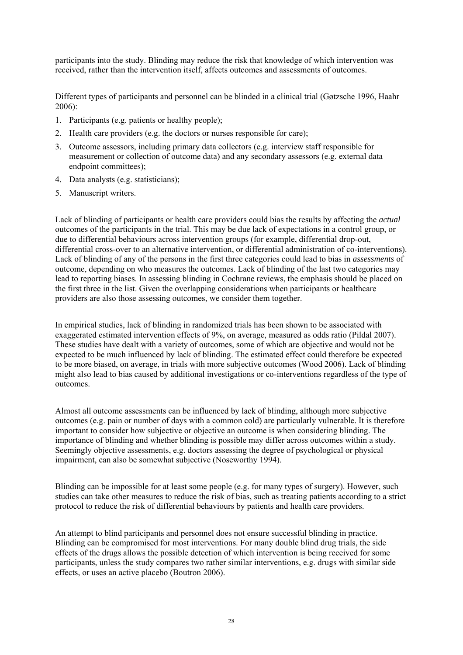participants into the study. Blinding may reduce the risk that knowledge of which intervention was received, rather than the intervention itself, affects outcomes and assessments of outcomes.

Different types of participants and personnel can be blinded in a clinical trial (Gøtzsche 1996, Haahr 2006):

- 1. Participants (e.g. patients or healthy people);
- 2. Health care providers (e.g. the doctors or nurses responsible for care);
- 3. Outcome assessors, including primary data collectors (e.g. interview staff responsible for measurement or collection of outcome data) and any secondary assessors (e.g. external data endpoint committees);
- 4. Data analysts (e.g. statisticians);
- 5. Manuscript writers.

Lack of blinding of participants or health care providers could bias the results by affecting the *actual* outcomes of the participants in the trial. This may be due lack of expectations in a control group, or due to differential behaviours across intervention groups (for example, differential drop-out, differential cross-over to an alternative intervention, or differential administration of co-interventions). Lack of blinding of any of the persons in the first three categories could lead to bias in *assessments* of outcome, depending on who measures the outcomes. Lack of blinding of the last two categories may lead to reporting biases. In assessing blinding in Cochrane reviews, the emphasis should be placed on the first three in the list. Given the overlapping considerations when participants or healthcare providers are also those assessing outcomes, we consider them together.

In empirical studies, lack of blinding in randomized trials has been shown to be associated with exaggerated estimated intervention effects of 9%, on average, measured as odds ratio (Pildal 2007). These studies have dealt with a variety of outcomes, some of which are objective and would not be expected to be much influenced by lack of blinding. The estimated effect could therefore be expected to be more biased, on average, in trials with more subjective outcomes (Wood 2006). Lack of blinding might also lead to bias caused by additional investigations or co-interventions regardless of the type of outcomes.

Almost all outcome assessments can be influenced by lack of blinding, although more subjective outcomes (e.g. pain or number of days with a common cold) are particularly vulnerable. It is therefore important to consider how subjective or objective an outcome is when considering blinding. The importance of blinding and whether blinding is possible may differ across outcomes within a study. Seemingly objective assessments, e.g. doctors assessing the degree of psychological or physical impairment, can also be somewhat subjective (Noseworthy 1994).

Blinding can be impossible for at least some people (e.g. for many types of surgery). However, such studies can take other measures to reduce the risk of bias, such as treating patients according to a strict protocol to reduce the risk of differential behaviours by patients and health care providers.

An attempt to blind participants and personnel does not ensure successful blinding in practice. Blinding can be compromised for most interventions. For many double blind drug trials, the side effects of the drugs allows the possible detection of which intervention is being received for some participants, unless the study compares two rather similar interventions, e.g. drugs with similar side effects, or uses an active placebo (Boutron 2006).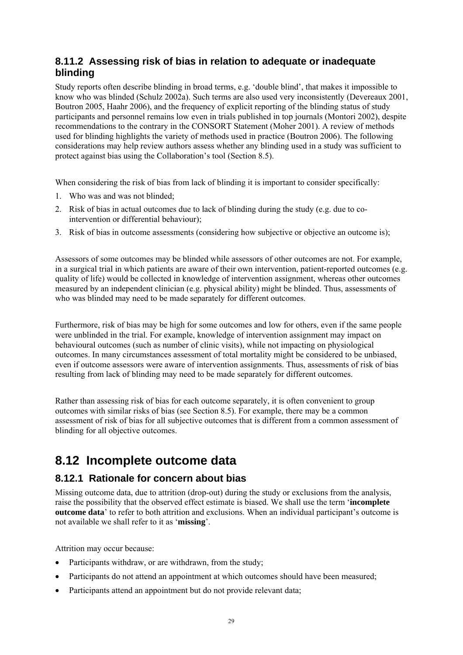## <span id="page-29-0"></span>**8.11.2 Assessing risk of bias in relation to adequate or inadequate blinding**

Study reports often describe blinding in broad terms, e.g. 'double blind', that makes it impossible to know who was blinded (Schulz 2002a). Such terms are also used very inconsistently (Devereaux 2001, Boutron 2005, Haahr 2006), and the frequency of explicit reporting of the blinding status of study participants and personnel remains low even in trials published in top journals (Montori 2002), despite recommendations to the contrary in the CONSORT Statement (Moher 2001). A review of methods used for blinding highlights the variety of methods used in practice (Boutron 2006). The following considerations may help review authors assess whether any blinding used in a study was sufficient to protect against bias using the Collaboration's tool (Section [8.5\)](#page-6-1).

When considering the risk of bias from lack of blinding it is important to consider specifically:

- 1. Who was and was not blinded;
- 2. Risk of bias in actual outcomes due to lack of blinding during the study (e.g. due to cointervention or differential behaviour);
- 3. Risk of bias in outcome assessments (considering how subjective or objective an outcome is);

Assessors of some outcomes may be blinded while assessors of other outcomes are not. For example, in a surgical trial in which patients are aware of their own intervention, patient-reported outcomes (e.g. quality of life) would be collected in knowledge of intervention assignment, whereas other outcomes measured by an independent clinician (e.g. physical ability) might be blinded. Thus, assessments of who was blinded may need to be made separately for different outcomes.

Furthermore, risk of bias may be high for some outcomes and low for others, even if the same people were unblinded in the trial. For example, knowledge of intervention assignment may impact on behavioural outcomes (such as number of clinic visits), while not impacting on physiological outcomes. In many circumstances assessment of total mortality might be considered to be unbiased, even if outcome assessors were aware of intervention assignments. Thus, assessments of risk of bias resulting from lack of blinding may need to be made separately for different outcomes.

Rather than assessing risk of bias for each outcome separately, it is often convenient to group outcomes with similar risks of bias (see Section [8.5\)](#page-6-1). For example, there may be a common assessment of risk of bias for all subjective outcomes that is different from a common assessment of blinding for all objective outcomes.

## <span id="page-29-1"></span>**8.12 Incomplete outcome data**

### **8.12.1 Rationale for concern about bias**

Missing outcome data, due to attrition (drop-out) during the study or exclusions from the analysis, raise the possibility that the observed effect estimate is biased. We shall use the term '**incomplete outcome data**' to refer to both attrition and exclusions. When an individual participant's outcome is not available we shall refer to it as '**missing**'.

Attrition may occur because:

- Participants withdraw, or are withdrawn, from the study:
- Participants do not attend an appointment at which outcomes should have been measured;
- Participants attend an appointment but do not provide relevant data;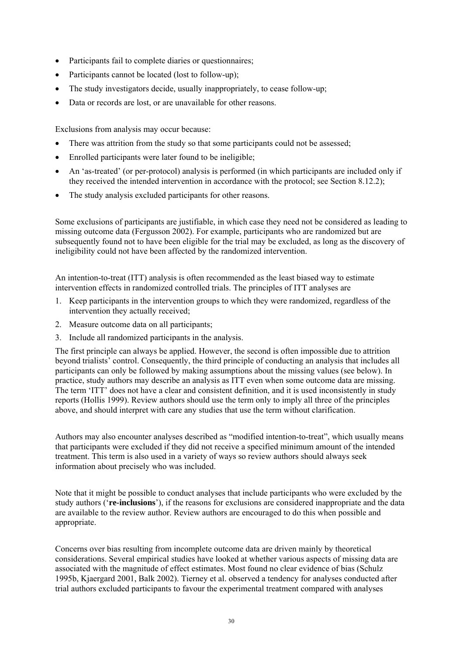- Participants fail to complete diaries or questionnaires;
- Participants cannot be located (lost to follow-up);
- The study investigators decide, usually inappropriately, to cease follow-up;
- Data or records are lost, or are unavailable for other reasons.

Exclusions from analysis may occur because:

- There was attrition from the study so that some participants could not be assessed;
- Enrolled participants were later found to be ineligible:
- An 'as-treated' (or per-protocol) analysis is performed (in which participants are included only if they received the intended intervention in accordance with the protocol; see Section [8.12.2\)](#page-31-1);
- The study analysis excluded participants for other reasons.

Some exclusions of participants are justifiable, in which case they need not be considered as leading to missing outcome data (Fergusson 2002). For example, participants who are randomized but are subsequently found not to have been eligible for the trial may be excluded, as long as the discovery of ineligibility could not have been affected by the randomized intervention.

An intention-to-treat (ITT) analysis is often recommended as the least biased way to estimate intervention effects in randomized controlled trials. The principles of ITT analyses are

- 1. Keep participants in the intervention groups to which they were randomized, regardless of the intervention they actually received;
- 2. Measure outcome data on all participants;
- 3. Include all randomized participants in the analysis.

The first principle can always be applied. However, the second is often impossible due to attrition beyond trialists' control. Consequently, the third principle of conducting an analysis that includes all participants can only be followed by making assumptions about the missing values (see below). In practice, study authors may describe an analysis as ITT even when some outcome data are missing. The term 'ITT' does not have a clear and consistent definition, and it is used inconsistently in study reports (Hollis 1999). Review authors should use the term only to imply all three of the principles above, and should interpret with care any studies that use the term without clarification.

Authors may also encounter analyses described as "modified intention-to-treat", which usually means that participants were excluded if they did not receive a specified minimum amount of the intended treatment. This term is also used in a variety of ways so review authors should always seek information about precisely who was included.

Note that it might be possible to conduct analyses that include participants who were excluded by the study authors ('**re-inclusions**'), if the reasons for exclusions are considered inappropriate and the data are available to the review author. Review authors are encouraged to do this when possible and appropriate.

Concerns over bias resulting from incomplete outcome data are driven mainly by theoretical considerations. Several empirical studies have looked at whether various aspects of missing data are associated with the magnitude of effect estimates. Most found no clear evidence of bias (Schulz 1995b, Kjaergard 2001, Balk 2002). Tierney et al. observed a tendency for analyses conducted after trial authors excluded participants to favour the experimental treatment compared with analyses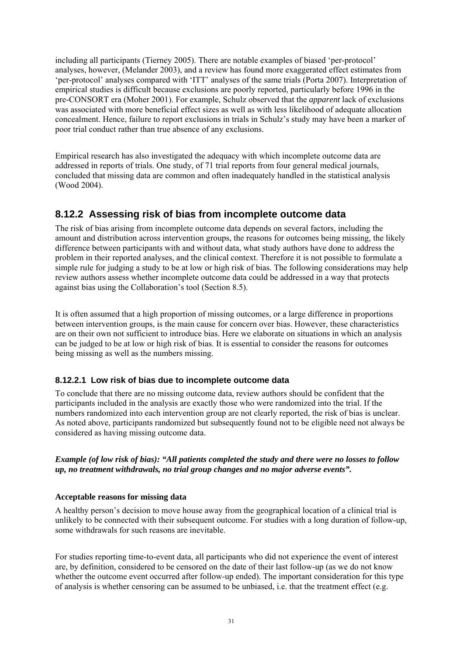<span id="page-31-0"></span>including all participants (Tierney 2005). There are notable examples of biased 'per-protocol' analyses, however, (Melander 2003), and a review has found more exaggerated effect estimates from 'per-protocol' analyses compared with 'ITT' analyses of the same trials (Porta 2007). Interpretation of empirical studies is difficult because exclusions are poorly reported, particularly before 1996 in the pre-CONSORT era (Moher 2001). For example, Schulz observed that the *apparent* lack of exclusions was associated with more beneficial effect sizes as well as with less likelihood of adequate allocation concealment. Hence, failure to report exclusions in trials in Schulz's study may have been a marker of poor trial conduct rather than true absence of any exclusions.

Empirical research has also investigated the adequacy with which incomplete outcome data are addressed in reports of trials. One study, of 71 trial reports from four general medical journals, concluded that missing data are common and often inadequately handled in the statistical analysis (Wood 2004).

## <span id="page-31-1"></span>**8.12.2 Assessing risk of bias from incomplete outcome data**

The risk of bias arising from incomplete outcome data depends on several factors, including the amount and distribution across intervention groups, the reasons for outcomes being missing, the likely difference between participants with and without data, what study authors have done to address the problem in their reported analyses, and the clinical context. Therefore it is not possible to formulate a simple rule for judging a study to be at low or high risk of bias. The following considerations may help review authors assess whether incomplete outcome data could be addressed in a way that protects against bias using the Collaboration's tool (Section [8.5\)](#page-6-1).

It is often assumed that a high proportion of missing outcomes, or a large difference in proportions between intervention groups, is the main cause for concern over bias. However, these characteristics are on their own not sufficient to introduce bias. Here we elaborate on situations in which an analysis can be judged to be at low or high risk of bias. It is essential to consider the reasons for outcomes being missing as well as the numbers missing.

### **8.12.2.1 Low risk of bias due to incomplete outcome data**

To conclude that there are no missing outcome data, review authors should be confident that the participants included in the analysis are exactly those who were randomized into the trial. If the numbers randomized into each intervention group are not clearly reported, the risk of bias is unclear. As noted above, participants randomized but subsequently found not to be eligible need not always be considered as having missing outcome data.

*Example (of low risk of bias): "All patients completed the study and there were no losses to follow up, no treatment withdrawals, no trial group changes and no major adverse events".* 

#### **Acceptable reasons for missing data**

A healthy person's decision to move house away from the geographical location of a clinical trial is unlikely to be connected with their subsequent outcome. For studies with a long duration of follow-up, some withdrawals for such reasons are inevitable.

For studies reporting time-to-event data, all participants who did not experience the event of interest are, by definition, considered to be censored on the date of their last follow-up (as we do not know whether the outcome event occurred after follow-up ended). The important consideration for this type of analysis is whether censoring can be assumed to be unbiased, i.e. that the treatment effect (e.g.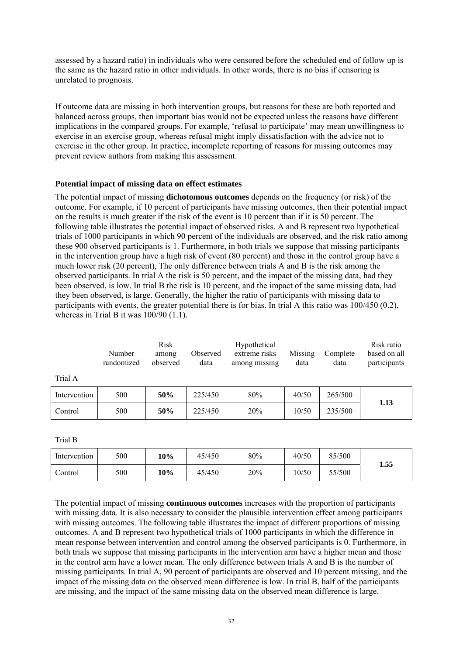assessed by a hazard ratio) in individuals who were censored before the scheduled end of follow up is the same as the hazard ratio in other individuals. In other words, there is no bias if censoring is unrelated to prognosis.

If outcome data are missing in both intervention groups, but reasons for these are both reported and balanced across groups, then important bias would not be expected unless the reasons have different implications in the compared groups. For example, 'refusal to participate' may mean unwillingness to exercise in an exercise group, whereas refusal might imply dissatisfaction with the advice not to exercise in the other group. In practice, incomplete reporting of reasons for missing outcomes may prevent review authors from making this assessment.

#### **Potential impact of missing data on effect estimates**

The potential impact of missing **dichotomous outcomes** depends on the frequency (or risk) of the outcome. For example, if 10 percent of participants have missing outcomes, then their potential impact on the results is much greater if the risk of the event is 10 percent than if it is 50 percent. The following table illustrates the potential impact of observed risks. A and B represent two hypothetical trials of 1000 participants in which 90 percent of the individuals are observed, and the risk ratio among these 900 observed participants is 1. Furthermore, in both trials we suppose that missing participants in the intervention group have a high risk of event (80 percent) and those in the control group have a much lower risk (20 percent), The only difference between trials A and B is the risk among the observed participants. In trial A the risk is 50 percent, and the impact of the missing data, had they been observed, is low. In trial B the risk is 10 percent, and the impact of the same missing data, had they been observed, is large. Generally, the higher the ratio of participants with missing data to participants with events, the greater potential there is for bias. In trial A this ratio was 100/450 (0.2), whereas in Trial B it was 100/90 (1.1).

|              | Number<br>randomized | Risk<br>among<br>observed | Observed<br>data | Hypothetical<br>extreme risks<br>among missing | Missing<br>data | Complete<br>data | Risk ratio<br>based on all<br>participants |  |
|--------------|----------------------|---------------------------|------------------|------------------------------------------------|-----------------|------------------|--------------------------------------------|--|
| Trial A      |                      |                           |                  |                                                |                 |                  |                                            |  |
| Intervention | 500                  | 50%                       | 225/450          | 80%                                            | 40/50           | 265/500          | 1.13                                       |  |
| Control      | 500                  | 50%                       | 225/450          | 20%                                            | 10/50           | 235/500          |                                            |  |

Trial B

| Intervention | 500 | 10% | 45/450 | 80% | 40/50 | 85/500 | 1.55 |
|--------------|-----|-----|--------|-----|-------|--------|------|
| Control      | 500 | 10% | 45/450 | 20% | 10/50 | 55/500 |      |

The potential impact of missing **continuous outcomes** increases with the proportion of participants with missing data. It is also necessary to consider the plausible intervention effect among participants with missing outcomes. The following table illustrates the impact of different proportions of missing outcomes. A and B represent two hypothetical trials of 1000 participants in which the difference in mean response between intervention and control among the observed participants is 0. Furthermore, in both trials we suppose that missing participants in the intervention arm have a higher mean and those in the control arm have a lower mean. The only difference between trials A and B is the number of missing participants. In trial A, 90 percent of participants are observed and 10 percent missing, and the impact of the missing data on the observed mean difference is low. In trial B, half of the participants are missing, and the impact of the same missing data on the observed mean difference is large.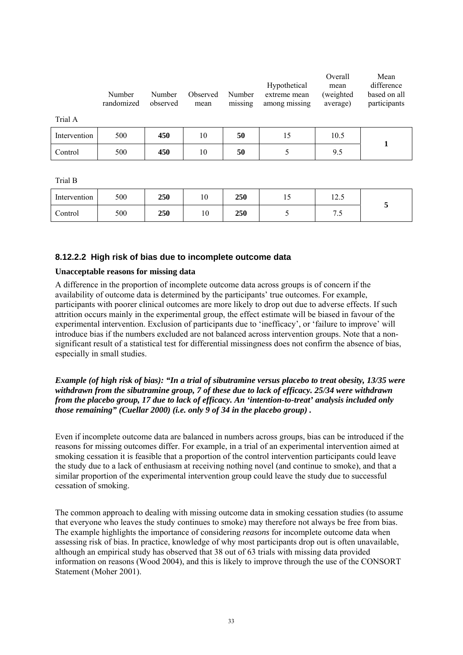|              | Number<br>randomized | Number<br>observed | Observed<br>mean | Number<br>missing | Hypothetical<br>extreme mean<br>among missing | Overall<br>mean<br>(weighted)<br>average) | Mean<br>difference<br>based on all<br>participants |
|--------------|----------------------|--------------------|------------------|-------------------|-----------------------------------------------|-------------------------------------------|----------------------------------------------------|
| Trial A      |                      |                    |                  |                   |                                               |                                           |                                                    |
| Intervention | 500                  | 450                | 10               | 50                | 15                                            | 10.5                                      | 1                                                  |
| Control      | 500                  | 450                | 10               | 50<br>5           |                                               | 9.5                                       |                                                    |
| Trial B      |                      |                    |                  |                   |                                               |                                           |                                                    |
| Intervention | 500                  | <b>250</b>         | 10               | <b>250</b>        | 15                                            | 12.5                                      | 5                                                  |
| Control      | 500                  | 250                | 10               | 250               | 5                                             | 7.5                                       |                                                    |

#### **8.12.2.2 High risk of bias due to incomplete outcome data**

#### **Unacceptable reasons for missing data**

A difference in the proportion of incomplete outcome data across groups is of concern if the availability of outcome data is determined by the participants' true outcomes. For example, participants with poorer clinical outcomes are more likely to drop out due to adverse effects. If such attrition occurs mainly in the experimental group, the effect estimate will be biased in favour of the experimental intervention. Exclusion of participants due to 'inefficacy', or 'failure to improve' will introduce bias if the numbers excluded are not balanced across intervention groups. Note that a nonsignificant result of a statistical test for differential missingness does not confirm the absence of bias, especially in small studies.

*Example (of high risk of bias): "In a trial of sibutramine versus placebo to treat obesity, 13/35 were withdrawn from the sibutramine group, 7 of these due to lack of efficacy. 25/34 were withdrawn from the placebo group, 17 due to lack of efficacy. An 'intention-to-treat' analysis included only those remaining" (Cuellar 2000) (i.e. only 9 of 34 in the placebo group) .* 

Even if incomplete outcome data are balanced in numbers across groups, bias can be introduced if the reasons for missing outcomes differ. For example, in a trial of an experimental intervention aimed at smoking cessation it is feasible that a proportion of the control intervention participants could leave the study due to a lack of enthusiasm at receiving nothing novel (and continue to smoke), and that a similar proportion of the experimental intervention group could leave the study due to successful cessation of smoking.

The common approach to dealing with missing outcome data in smoking cessation studies (to assume that everyone who leaves the study continues to smoke) may therefore not always be free from bias. The example highlights the importance of considering *reasons* for incomplete outcome data when assessing risk of bias. In practice, knowledge of why most participants drop out is often unavailable, although an empirical study has observed that 38 out of 63 trials with missing data provided information on reasons (Wood 2004), and this is likely to improve through the use of the CONSORT Statement (Moher 2001).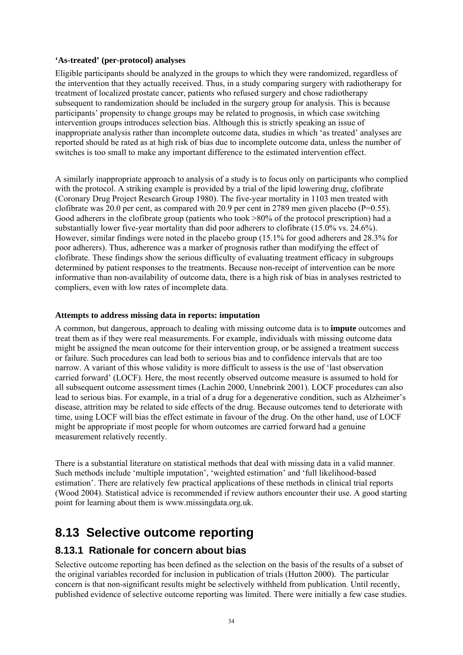#### <span id="page-34-0"></span>**'As-treated' (per-protocol) analyses**

Eligible participants should be analyzed in the groups to which they were randomized, regardless of the intervention that they actually received. Thus, in a study comparing surgery with radiotherapy for treatment of localized prostate cancer, patients who refused surgery and chose radiotherapy subsequent to randomization should be included in the surgery group for analysis. This is because participants' propensity to change groups may be related to prognosis, in which case switching intervention groups introduces selection bias. Although this is strictly speaking an issue of inappropriate analysis rather than incomplete outcome data, studies in which 'as treated' analyses are reported should be rated as at high risk of bias due to incomplete outcome data, unless the number of switches is too small to make any important difference to the estimated intervention effect.

A similarly inappropriate approach to analysis of a study is to focus only on participants who complied with the protocol. A striking example is provided by a trial of the lipid lowering drug, clofibrate (Coronary Drug Project Research Group 1980). The five-year mortality in 1103 men treated with clofibrate was 20.0 per cent, as compared with 20.9 per cent in 2789 men given placebo ( $P=0.55$ ). Good adherers in the clofibrate group (patients who took >80% of the protocol prescription) had a substantially lower five-year mortality than did poor adherers to clofibrate (15.0% vs. 24.6%). However, similar findings were noted in the placebo group (15.1% for good adherers and 28.3% for poor adherers). Thus, adherence was a marker of prognosis rather than modifying the effect of clofibrate. These findings show the serious difficulty of evaluating treatment efficacy in subgroups determined by patient responses to the treatments. Because non-receipt of intervention can be more informative than non-availability of outcome data, there is a high risk of bias in analyses restricted to compliers, even with low rates of incomplete data.

#### **Attempts to address missing data in reports: imputation**

A common, but dangerous, approach to dealing with missing outcome data is to **impute** outcomes and treat them as if they were real measurements. For example, individuals with missing outcome data might be assigned the mean outcome for their intervention group, or be assigned a treatment success or failure. Such procedures can lead both to serious bias and to confidence intervals that are too narrow. A variant of this whose validity is more difficult to assess is the use of 'last observation carried forward' (LOCF). Here, the most recently observed outcome measure is assumed to hold for all subsequent outcome assessment times (Lachin 2000, Unnebrink 2001). LOCF procedures can also lead to serious bias. For example, in a trial of a drug for a degenerative condition, such as Alzheimer's disease, attrition may be related to side effects of the drug. Because outcomes tend to deteriorate with time, using LOCF will bias the effect estimate in favour of the drug. On the other hand, use of LOCF might be appropriate if most people for whom outcomes are carried forward had a genuine measurement relatively recently.

There is a substantial literature on statistical methods that deal with missing data in a valid manner. Such methods include 'multiple imputation', 'weighted estimation' and 'full likelihood-based estimation'. There are relatively few practical applications of these methods in clinical trial reports (Wood 2004). Statistical advice is recommended if review authors encounter their use. A good starting point for learning about them is www.missingdata.org.uk.

## **8.13 Selective outcome reporting**

### **8.13.1 Rationale for concern about bias**

Selective outcome reporting has been defined as the selection on the basis of the results of a subset of the original variables recorded for inclusion in publication of trials (Hutton 2000). The particular concern is that non-significant results might be selectively withheld from publication. Until recently, published evidence of selective outcome reporting was limited. There were initially a few case studies.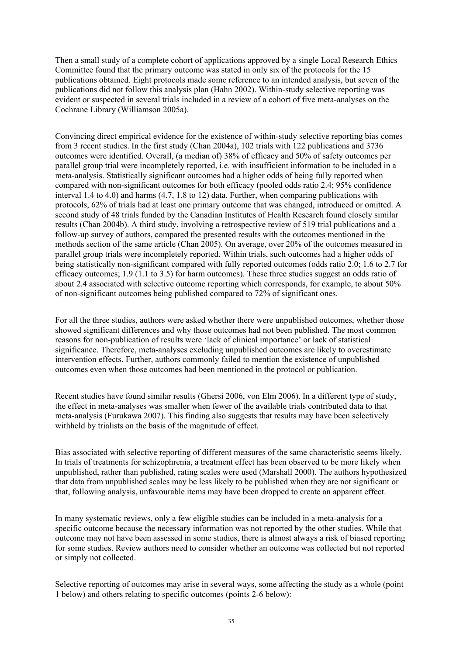Then a small study of a complete cohort of applications approved by a single Local Research Ethics Committee found that the primary outcome was stated in only six of the protocols for the 15 publications obtained. Eight protocols made some reference to an intended analysis, but seven of the publications did not follow this analysis plan (Hahn 2002). Within-study selective reporting was evident or suspected in several trials included in a review of a cohort of five meta-analyses on the Cochrane Library (Williamson 2005a).

Convincing direct empirical evidence for the existence of within-study selective reporting bias comes from 3 recent studies. In the first study (Chan 2004a), 102 trials with 122 publications and 3736 outcomes were identified. Overall, (a median of) 38% of efficacy and 50% of safety outcomes per parallel group trial were incompletely reported, i.e. with insufficient information to be included in a meta-analysis. Statistically significant outcomes had a higher odds of being fully reported when compared with non-significant outcomes for both efficacy (pooled odds ratio 2.4; 95% confidence interval 1.4 to 4.0) and harms (4.7, 1.8 to 12) data. Further, when comparing publications with protocols, 62% of trials had at least one primary outcome that was changed, introduced or omitted. A second study of 48 trials funded by the Canadian Institutes of Health Research found closely similar results (Chan 2004b). A third study, involving a retrospective review of 519 trial publications and a follow-up survey of authors, compared the presented results with the outcomes mentioned in the methods section of the same article (Chan 2005). On average, over 20% of the outcomes measured in parallel group trials were incompletely reported. Within trials, such outcomes had a higher odds of being statistically non-significant compared with fully reported outcomes (odds ratio 2.0; 1.6 to 2.7 for efficacy outcomes; 1.9 (1.1 to 3.5) for harm outcomes). These three studies suggest an odds ratio of about 2.4 associated with selective outcome reporting which corresponds, for example, to about 50% of non-significant outcomes being published compared to 72% of significant ones.

For all the three studies, authors were asked whether there were unpublished outcomes, whether those showed significant differences and why those outcomes had not been published. The most common reasons for non-publication of results were 'lack of clinical importance' or lack of statistical significance. Therefore, meta-analyses excluding unpublished outcomes are likely to overestimate intervention effects. Further, authors commonly failed to mention the existence of unpublished outcomes even when those outcomes had been mentioned in the protocol or publication.

Recent studies have found similar results (Ghersi 2006, von Elm 2006). In a different type of study, the effect in meta-analyses was smaller when fewer of the available trials contributed data to that meta-analysis (Furukawa 2007). This finding also suggests that results may have been selectively withheld by trialists on the basis of the magnitude of effect.

Bias associated with selective reporting of different measures of the same characteristic seems likely. In trials of treatments for schizophrenia, a treatment effect has been observed to be more likely when unpublished, rather than published, rating scales were used (Marshall 2000). The authors hypothesized that data from unpublished scales may be less likely to be published when they are not significant or that, following analysis, unfavourable items may have been dropped to create an apparent effect.

In many systematic reviews, only a few eligible studies can be included in a meta-analysis for a specific outcome because the necessary information was not reported by the other studies. While that outcome may not have been assessed in some studies, there is almost always a risk of biased reporting for some studies. Review authors need to consider whether an outcome was collected but not reported or simply not collected.

Selective reporting of outcomes may arise in several ways, some affecting the study as a whole (point 1 below) and others relating to specific outcomes (points 2-6 below):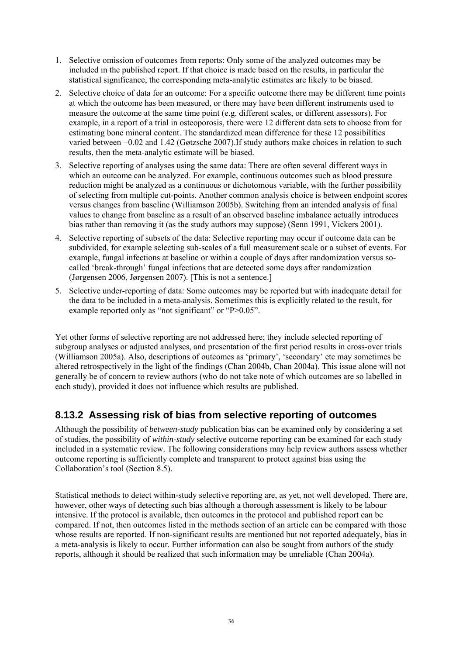- <span id="page-36-0"></span>1. Selective omission of outcomes from reports: Only some of the analyzed outcomes may be included in the published report. If that choice is made based on the results, in particular the statistical significance, the corresponding meta-analytic estimates are likely to be biased.
- 2. Selective choice of data for an outcome: For a specific outcome there may be different time points at which the outcome has been measured, or there may have been different instruments used to measure the outcome at the same time point (e.g. different scales, or different assessors). For example, in a report of a trial in osteoporosis, there were 12 different data sets to choose from for estimating bone mineral content. The standardized mean difference for these 12 possibilities varied between −0.02 and 1.42 (Gøtzsche 2007).If study authors make choices in relation to such results, then the meta-analytic estimate will be biased.
- 3. Selective reporting of analyses using the same data: There are often several different ways in which an outcome can be analyzed. For example, continuous outcomes such as blood pressure reduction might be analyzed as a continuous or dichotomous variable, with the further possibility of selecting from multiple cut-points. Another common analysis choice is between endpoint scores versus changes from baseline (Williamson 2005b). Switching from an intended analysis of final values to change from baseline as a result of an observed baseline imbalance actually introduces bias rather than removing it (as the study authors may suppose) (Senn 1991, Vickers 2001).
- 4. Selective reporting of subsets of the data: Selective reporting may occur if outcome data can be subdivided, for example selecting sub-scales of a full measurement scale or a subset of events. For example, fungal infections at baseline or within a couple of days after randomization versus socalled 'break-through' fungal infections that are detected some days after randomization (Jørgensen 2006, Jørgensen 2007). [This is not a sentence.]
- 5. Selective under-reporting of data: Some outcomes may be reported but with inadequate detail for the data to be included in a meta-analysis. Sometimes this is explicitly related to the result, for example reported only as "not significant" or "P>0.05".

Yet other forms of selective reporting are not addressed here; they include selected reporting of subgroup analyses or adjusted analyses, and presentation of the first period results in cross-over trials (Williamson 2005a). Also, descriptions of outcomes as 'primary', 'secondary' etc may sometimes be altered retrospectively in the light of the findings (Chan 2004b, Chan 2004a). This issue alone will not generally be of concern to review authors (who do not take note of which outcomes are so labelled in each study), provided it does not influence which results are published.

## **8.13.2 Assessing risk of bias from selective reporting of outcomes**

Although the possibility of *between-study* publication bias can be examined only by considering a set of studies, the possibility of *within-study* selective outcome reporting can be examined for each study included in a systematic review. The following considerations may help review authors assess whether outcome reporting is sufficiently complete and transparent to protect against bias using the Collaboration's tool (Section [8.5\)](#page-6-1).

Statistical methods to detect within-study selective reporting are, as yet, not well developed. There are, however, other ways of detecting such bias although a thorough assessment is likely to be labour intensive. If the protocol is available, then outcomes in the protocol and published report can be compared. If not, then outcomes listed in the methods section of an article can be compared with those whose results are reported. If non-significant results are mentioned but not reported adequately, bias in a meta-analysis is likely to occur. Further information can also be sought from authors of the study reports, although it should be realized that such information may be unreliable (Chan 2004a).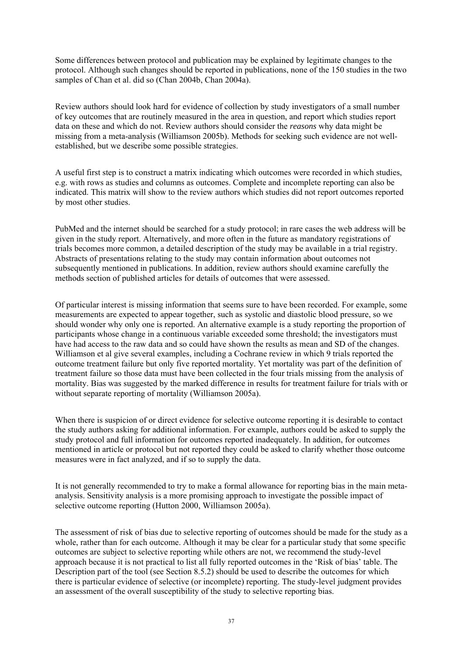Some differences between protocol and publication may be explained by legitimate changes to the protocol. Although such changes should be reported in publications, none of the 150 studies in the two samples of Chan et al. did so (Chan 2004b, Chan 2004a).

Review authors should look hard for evidence of collection by study investigators of a small number of key outcomes that are routinely measured in the area in question, and report which studies report data on these and which do not. Review authors should consider the *reasons* why data might be missing from a meta-analysis (Williamson 2005b). Methods for seeking such evidence are not wellestablished, but we describe some possible strategies.

A useful first step is to construct a matrix indicating which outcomes were recorded in which studies, e.g. with rows as studies and columns as outcomes. Complete and incomplete reporting can also be indicated. This matrix will show to the review authors which studies did not report outcomes reported by most other studies.

PubMed and the internet should be searched for a study protocol; in rare cases the web address will be given in the study report. Alternatively, and more often in the future as mandatory registrations of trials becomes more common, a detailed description of the study may be available in a trial registry. Abstracts of presentations relating to the study may contain information about outcomes not subsequently mentioned in publications. In addition, review authors should examine carefully the methods section of published articles for details of outcomes that were assessed.

Of particular interest is missing information that seems sure to have been recorded. For example, some measurements are expected to appear together, such as systolic and diastolic blood pressure, so we should wonder why only one is reported. An alternative example is a study reporting the proportion of participants whose change in a continuous variable exceeded some threshold; the investigators must have had access to the raw data and so could have shown the results as mean and SD of the changes. Williamson et al give several examples, including a Cochrane review in which 9 trials reported the outcome treatment failure but only five reported mortality. Yet mortality was part of the definition of treatment failure so those data must have been collected in the four trials missing from the analysis of mortality. Bias was suggested by the marked difference in results for treatment failure for trials with or without separate reporting of mortality (Williamson 2005a).

When there is suspicion of or direct evidence for selective outcome reporting it is desirable to contact the study authors asking for additional information. For example, authors could be asked to supply the study protocol and full information for outcomes reported inadequately. In addition, for outcomes mentioned in article or protocol but not reported they could be asked to clarify whether those outcome measures were in fact analyzed, and if so to supply the data.

It is not generally recommended to try to make a formal allowance for reporting bias in the main metaanalysis. Sensitivity analysis is a more promising approach to investigate the possible impact of selective outcome reporting (Hutton 2000, Williamson 2005a).

The assessment of risk of bias due to selective reporting of outcomes should be made for the study as a whole, rather than for each outcome. Although it may be clear for a particular study that some specific outcomes are subject to selective reporting while others are not, we recommend the study-level approach because it is not practical to list all fully reported outcomes in the 'Risk of bias' table. The Description part of the tool (see Section [8.5.2\)](#page-9-2) should be used to describe the outcomes for which there is particular evidence of selective (or incomplete) reporting. The study-level judgment provides an assessment of the overall susceptibility of the study to selective reporting bias.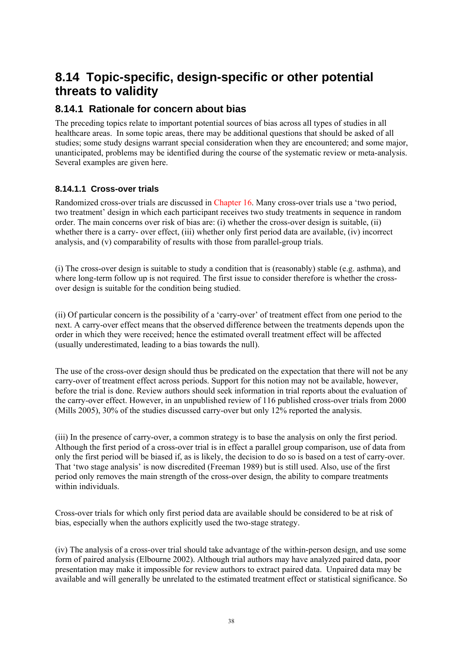## <span id="page-38-1"></span><span id="page-38-0"></span>**8.14 Topic-specific, design-specific or other potential threats to validity**

## <span id="page-38-2"></span>**8.14.1 Rationale for concern about bias**

The preceding topics relate to important potential sources of bias across all types of studies in all healthcare areas. In some topic areas, there may be additional questions that should be asked of all studies; some study designs warrant special consideration when they are encountered; and some major, unanticipated, problems may be identified during the course of the systematic review or meta-analysis. Several examples are given here.

### **8.14.1.1 Cross-over trials**

Randomized cross-over trials are discussed in Chapter 16. Many cross-over trials use a 'two period, two treatment' design in which each participant receives two study treatments in sequence in random order. The main concerns over risk of bias are: (i) whether the cross-over design is suitable, (ii) whether there is a carry- over effect, (iii) whether only first period data are available, (iv) incorrect analysis, and (v) comparability of results with those from parallel-group trials.

(i) The cross-over design is suitable to study a condition that is (reasonably) stable (e.g. asthma), and where long-term follow up is not required. The first issue to consider therefore is whether the crossover design is suitable for the condition being studied.

(ii) Of particular concern is the possibility of a 'carry-over' of treatment effect from one period to the next. A carry-over effect means that the observed difference between the treatments depends upon the order in which they were received; hence the estimated overall treatment effect will be affected (usually underestimated, leading to a bias towards the null).

The use of the cross-over design should thus be predicated on the expectation that there will not be any carry-over of treatment effect across periods. Support for this notion may not be available, however, before the trial is done. Review authors should seek information in trial reports about the evaluation of the carry-over effect. However, in an unpublished review of 116 published cross-over trials from 2000 (Mills 2005), 30% of the studies discussed carry-over but only 12% reported the analysis.

(iii) In the presence of carry-over, a common strategy is to base the analysis on only the first period. Although the first period of a cross-over trial is in effect a parallel group comparison, use of data from only the first period will be biased if, as is likely, the decision to do so is based on a test of carry-over. That 'two stage analysis' is now discredited (Freeman 1989) but is still used. Also, use of the first period only removes the main strength of the cross-over design, the ability to compare treatments within individuals.

Cross-over trials for which only first period data are available should be considered to be at risk of bias, especially when the authors explicitly used the two-stage strategy.

(iv) The analysis of a cross-over trial should take advantage of the within-person design, and use some form of paired analysis (Elbourne 2002). Although trial authors may have analyzed paired data, poor presentation may make it impossible for review authors to extract paired data. Unpaired data may be available and will generally be unrelated to the estimated treatment effect or statistical significance. So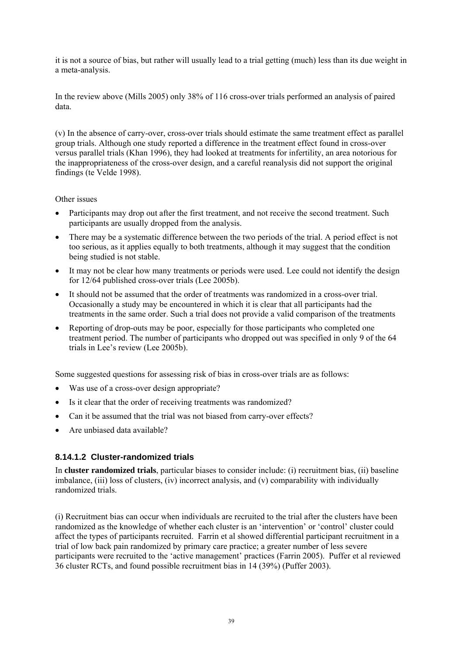it is not a source of bias, but rather will usually lead to a trial getting (much) less than its due weight in a meta-analysis.

In the review above (Mills 2005) only 38% of 116 cross-over trials performed an analysis of paired data.

(v) In the absence of carry-over, cross-over trials should estimate the same treatment effect as parallel group trials. Although one study reported a difference in the treatment effect found in cross-over versus parallel trials (Khan 1996), they had looked at treatments for infertility, an area notorious for the inappropriateness of the cross-over design, and a careful reanalysis did not support the original findings (te Velde 1998).

#### Other issues

- Participants may drop out after the first treatment, and not receive the second treatment. Such participants are usually dropped from the analysis.
- There may be a systematic difference between the two periods of the trial. A period effect is not too serious, as it applies equally to both treatments, although it may suggest that the condition being studied is not stable.
- It may not be clear how many treatments or periods were used. Lee could not identify the design for 12/64 published cross-over trials (Lee 2005b).
- It should not be assumed that the order of treatments was randomized in a cross-over trial. Occasionally a study may be encountered in which it is clear that all participants had the treatments in the same order. Such a trial does not provide a valid comparison of the treatments
- Reporting of drop-outs may be poor, especially for those participants who completed one treatment period. The number of participants who dropped out was specified in only 9 of the 64 trials in Lee's review (Lee 2005b).

Some suggested questions for assessing risk of bias in cross-over trials are as follows:

- Was use of a cross-over design appropriate?
- Is it clear that the order of receiving treatments was randomized?
- Can it be assumed that the trial was not biased from carry-over effects?
- Are unbiased data available?

#### **8.14.1.2 Cluster-randomized trials**

In **cluster randomized trials**, particular biases to consider include: (i) recruitment bias, (ii) baseline imbalance, (iii) loss of clusters, (iv) incorrect analysis, and (v) comparability with individually randomized trials.

(i) Recruitment bias can occur when individuals are recruited to the trial after the clusters have been randomized as the knowledge of whether each cluster is an 'intervention' or 'control' cluster could affect the types of participants recruited. Farrin et al showed differential participant recruitment in a trial of low back pain randomized by primary care practice; a greater number of less severe participants were recruited to the 'active management' practices (Farrin 2005). Puffer et al reviewed 36 cluster RCTs, and found possible recruitment bias in 14 (39%) (Puffer 2003).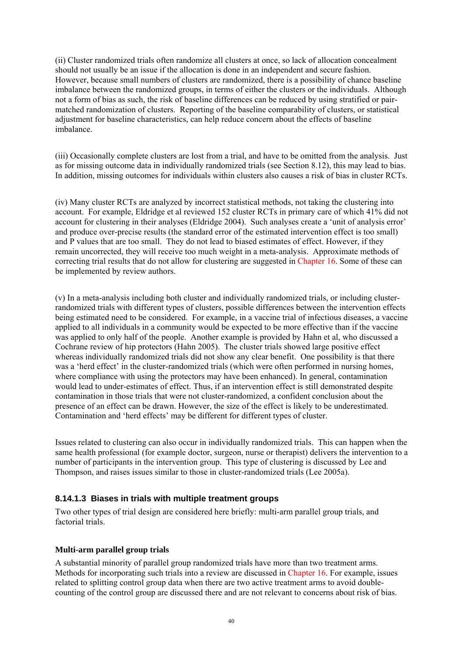(ii) Cluster randomized trials often randomize all clusters at once, so lack of allocation concealment should not usually be an issue if the allocation is done in an independent and secure fashion. However, because small numbers of clusters are randomized, there is a possibility of chance baseline imbalance between the randomized groups, in terms of either the clusters or the individuals. Although not a form of bias as such, the risk of baseline differences can be reduced by using stratified or pairmatched randomization of clusters. Reporting of the baseline comparability of clusters, or statistical adjustment for baseline characteristics, can help reduce concern about the effects of baseline imbalance.

(iii) Occasionally complete clusters are lost from a trial, and have to be omitted from the analysis. Just as for missing outcome data in individually randomized trials (see Section [8.12\)](#page-29-1), this may lead to bias. In addition, missing outcomes for individuals within clusters also causes a risk of bias in cluster RCTs.

(iv) Many cluster RCTs are analyzed by incorrect statistical methods, not taking the clustering into account. For example, Eldridge et al reviewed 152 cluster RCTs in primary care of which 41% did not account for clustering in their analyses (Eldridge 2004). Such analyses create a 'unit of analysis error' and produce over-precise results (the standard error of the estimated intervention effect is too small) and P values that are too small. They do not lead to biased estimates of effect. However, if they remain uncorrected, they will receive too much weight in a meta-analysis. Approximate methods of correcting trial results that do not allow for clustering are suggested in Chapter 16. Some of these can be implemented by review authors.

(v) In a meta-analysis including both cluster and individually randomized trials, or including clusterrandomized trials with different types of clusters, possible differences between the intervention effects being estimated need to be considered. For example, in a vaccine trial of infectious diseases, a vaccine applied to all individuals in a community would be expected to be more effective than if the vaccine was applied to only half of the people. Another example is provided by Hahn et al, who discussed a Cochrane review of hip protectors (Hahn 2005). The cluster trials showed large positive effect whereas individually randomized trials did not show any clear benefit. One possibility is that there was a 'herd effect' in the cluster-randomized trials (which were often performed in nursing homes, where compliance with using the protectors may have been enhanced). In general, contamination would lead to under-estimates of effect. Thus, if an intervention effect is still demonstrated despite contamination in those trials that were not cluster-randomized, a confident conclusion about the presence of an effect can be drawn. However, the size of the effect is likely to be underestimated. Contamination and 'herd effects' may be different for different types of cluster.

Issues related to clustering can also occur in individually randomized trials. This can happen when the same health professional (for example doctor, surgeon, nurse or therapist) delivers the intervention to a number of participants in the intervention group. This type of clustering is discussed by Lee and Thompson, and raises issues similar to those in cluster-randomized trials (Lee 2005a).

#### **8.14.1.3 Biases in trials with multiple treatment groups**

Two other types of trial design are considered here briefly: multi-arm parallel group trials, and factorial trials.

#### **Multi-arm parallel group trials**

A substantial minority of parallel group randomized trials have more than two treatment arms. Methods for incorporating such trials into a review are discussed in Chapter 16. For example, issues related to splitting control group data when there are two active treatment arms to avoid doublecounting of the control group are discussed there and are not relevant to concerns about risk of bias.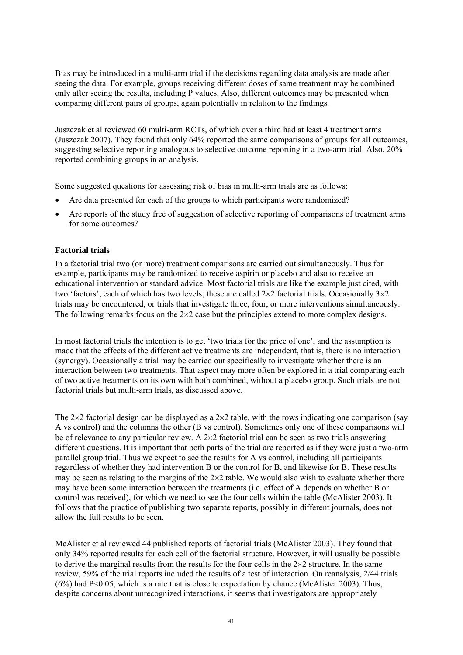Bias may be introduced in a multi-arm trial if the decisions regarding data analysis are made after seeing the data. For example, groups receiving different doses of same treatment may be combined only after seeing the results, including P values. Also, different outcomes may be presented when comparing different pairs of groups, again potentially in relation to the findings.

Juszczak et al reviewed 60 multi-arm RCTs, of which over a third had at least 4 treatment arms (Juszczak 2007). They found that only 64% reported the same comparisons of groups for all outcomes, suggesting selective reporting analogous to selective outcome reporting in a two-arm trial. Also, 20% reported combining groups in an analysis.

Some suggested questions for assessing risk of bias in multi-arm trials are as follows:

- Are data presented for each of the groups to which participants were randomized?
- Are reports of the study free of suggestion of selective reporting of comparisons of treatment arms for some outcomes?

#### **Factorial trials**

In a factorial trial two (or more) treatment comparisons are carried out simultaneously. Thus for example, participants may be randomized to receive aspirin or placebo and also to receive an educational intervention or standard advice. Most factorial trials are like the example just cited, with two 'factors', each of which has two levels; these are called  $2\times 2$  factorial trials. Occasionally  $3\times 2$ trials may be encountered, or trials that investigate three, four, or more interventions simultaneously. The following remarks focus on the  $2\times 2$  case but the principles extend to more complex designs.

In most factorial trials the intention is to get 'two trials for the price of one', and the assumption is made that the effects of the different active treatments are independent, that is, there is no interaction (synergy). Occasionally a trial may be carried out specifically to investigate whether there is an interaction between two treatments. That aspect may more often be explored in a trial comparing each of two active treatments on its own with both combined, without a placebo group. Such trials are not factorial trials but multi-arm trials, as discussed above.

The  $2\times2$  factorial design can be displayed as a  $2\times2$  table, with the rows indicating one comparison (say A vs control) and the columns the other (B vs control). Sometimes only one of these comparisons will be of relevance to any particular review. A 2×2 factorial trial can be seen as two trials answering different questions. It is important that both parts of the trial are reported as if they were just a two-arm parallel group trial. Thus we expect to see the results for A vs control, including all participants regardless of whether they had intervention B or the control for B, and likewise for B. These results may be seen as relating to the margins of the  $2\times 2$  table. We would also wish to evaluate whether there may have been some interaction between the treatments (i.e. effect of A depends on whether B or control was received), for which we need to see the four cells within the table (McAlister 2003). It follows that the practice of publishing two separate reports, possibly in different journals, does not allow the full results to be seen.

McAlister et al reviewed 44 published reports of factorial trials (McAlister 2003). They found that only 34% reported results for each cell of the factorial structure. However, it will usually be possible to derive the marginal results from the results for the four cells in the  $2\times 2$  structure. In the same review, 59% of the trial reports included the results of a test of interaction. On reanalysis, 2/44 trials (6%) had P<0.05, which is a rate that is close to expectation by chance (McAlister 2003). Thus, despite concerns about unrecognized interactions, it seems that investigators are appropriately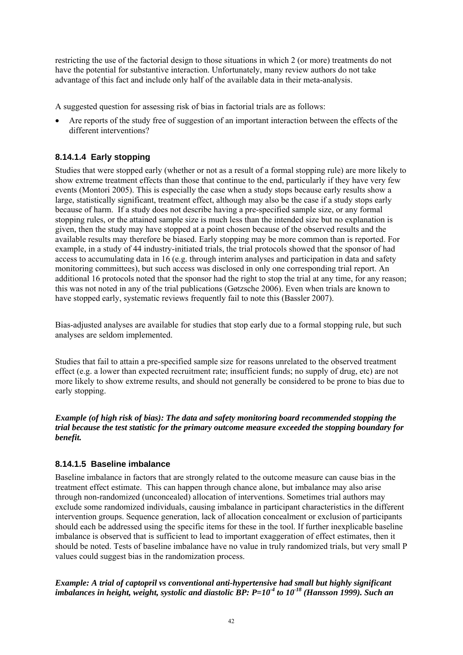restricting the use of the factorial design to those situations in which 2 (or more) treatments do not have the potential for substantive interaction. Unfortunately, many review authors do not take advantage of this fact and include only half of the available data in their meta-analysis.

A suggested question for assessing risk of bias in factorial trials are as follows:

• Are reports of the study free of suggestion of an important interaction between the effects of the different interventions?

#### **8.14.1.4 Early stopping**

Studies that were stopped early (whether or not as a result of a formal stopping rule) are more likely to show extreme treatment effects than those that continue to the end, particularly if they have very few events (Montori 2005). This is especially the case when a study stops because early results show a large, statistically significant, treatment effect, although may also be the case if a study stops early because of harm. If a study does not describe having a pre-specified sample size, or any formal stopping rules, or the attained sample size is much less than the intended size but no explanation is given, then the study may have stopped at a point chosen because of the observed results and the available results may therefore be biased. Early stopping may be more common than is reported. For example, in a study of 44 industry-initiated trials, the trial protocols showed that the sponsor of had access to accumulating data in 16 (e.g. through interim analyses and participation in data and safety monitoring committees), but such access was disclosed in only one corresponding trial report. An additional 16 protocols noted that the sponsor had the right to stop the trial at any time, for any reason; this was not noted in any of the trial publications (Gøtzsche 2006). Even when trials are known to have stopped early, systematic reviews frequently fail to note this (Bassler 2007).

Bias-adjusted analyses are available for studies that stop early due to a formal stopping rule, but such analyses are seldom implemented.

Studies that fail to attain a pre-specified sample size for reasons unrelated to the observed treatment effect (e.g. a lower than expected recruitment rate; insufficient funds; no supply of drug, etc) are not more likely to show extreme results, and should not generally be considered to be prone to bias due to early stopping.

*Example (of high risk of bias): The data and safety monitoring board recommended stopping the trial because the test statistic for the primary outcome measure exceeded the stopping boundary for benefit.*

#### **8.14.1.5 Baseline imbalance**

Baseline imbalance in factors that are strongly related to the outcome measure can cause bias in the treatment effect estimate. This can happen through chance alone, but imbalance may also arise through non-randomized (unconcealed) allocation of interventions. Sometimes trial authors may exclude some randomized individuals, causing imbalance in participant characteristics in the different intervention groups. Sequence generation, lack of allocation concealment or exclusion of participants should each be addressed using the specific items for these in the tool. If further inexplicable baseline imbalance is observed that is sufficient to lead to important exaggeration of effect estimates, then it should be noted. Tests of baseline imbalance have no value in truly randomized trials, but very small P values could suggest bias in the randomization process.

*Example: A trial of captopril vs conventional anti-hypertensive had small but highly significant imbalances in height, weight, systolic and diastolic BP: P=10-4 to 10-18 (Hansson 1999). Such an*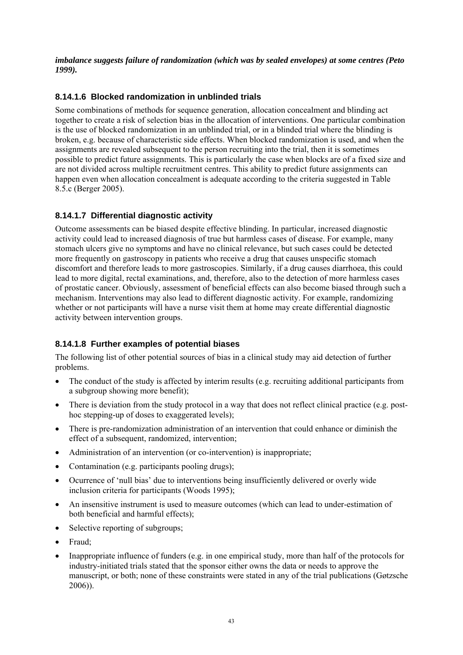*imbalance suggests failure of randomization (which was by sealed envelopes) at some centres (Peto 1999).* 

#### <span id="page-43-0"></span>**8.14.1.6 Blocked randomization in unblinded trials**

Some combinations of methods for sequence generation, allocation concealment and blinding act together to create a risk of selection bias in the allocation of interventions. One particular combination is the use of blocked randomization in an unblinded trial, or in a blinded trial where the blinding is broken, e.g. because of characteristic side effects. When blocked randomization is used, and when the assignments are revealed subsequent to the person recruiting into the trial, then it is sometimes possible to predict future assignments. This is particularly the case when blocks are of a fixed size and are not divided across multiple recruitment centres. This ability to predict future assignments can happen even when allocation concealment is adequate according to the criteria suggested in [Table](#page-10-0)  [8.5.c](#page-10-0) (Berger 2005).

### **8.14.1.7 Differential diagnostic activity**

Outcome assessments can be biased despite effective blinding. In particular, increased diagnostic activity could lead to increased diagnosis of true but harmless cases of disease. For example, many stomach ulcers give no symptoms and have no clinical relevance, but such cases could be detected more frequently on gastroscopy in patients who receive a drug that causes unspecific stomach discomfort and therefore leads to more gastroscopies. Similarly, if a drug causes diarrhoea, this could lead to more digital, rectal examinations, and, therefore, also to the detection of more harmless cases of prostatic cancer. Obviously, assessment of beneficial effects can also become biased through such a mechanism. Interventions may also lead to different diagnostic activity. For example, randomizing whether or not participants will have a nurse visit them at home may create differential diagnostic activity between intervention groups.

### **8.14.1.8 Further examples of potential biases**

The following list of other potential sources of bias in a clinical study may aid detection of further problems.

- The conduct of the study is affected by interim results (e.g. recruiting additional participants from a subgroup showing more benefit);
- There is deviation from the study protocol in a way that does not reflect clinical practice (e.g. posthoc stepping-up of doses to exaggerated levels);
- There is pre-randomization administration of an intervention that could enhance or diminish the effect of a subsequent, randomized, intervention;
- Administration of an intervention (or co-intervention) is inappropriate;
- Contamination (e.g. participants pooling drugs);
- Ocurrence of 'null bias' due to interventions being insufficiently delivered or overly wide inclusion criteria for participants (Woods 1995);
- An insensitive instrument is used to measure outcomes (which can lead to under-estimation of both beneficial and harmful effects);
- Selective reporting of subgroups;
- Fraud;
- Inappropriate influence of funders (e.g. in one empirical study, more than half of the protocols for industry-initiated trials stated that the sponsor either owns the data or needs to approve the manuscript, or both; none of these constraints were stated in any of the trial publications (Gøtzsche 2006)).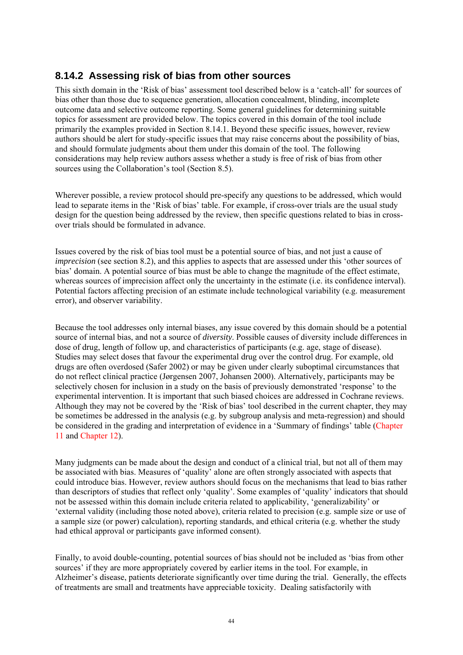### <span id="page-44-0"></span>**8.14.2 Assessing risk of bias from other sources**

This sixth domain in the 'Risk of bias' assessment tool described below is a 'catch-all' for sources of bias other than those due to sequence generation, allocation concealment, blinding, incomplete outcome data and selective outcome reporting. Some general guidelines for determining suitable topics for assessment are provided below. The topics covered in this domain of the tool include primarily the examples provided in Section [8.14.1.](#page-38-2) Beyond these specific issues, however, review authors should be alert for study-specific issues that may raise concerns about the possibility of bias, and should formulate judgments about them under this domain of the tool. The following considerations may help review authors assess whether a study is free of risk of bias from other sources using the Collaboration's tool (Section [8.5\)](#page-6-1).

Wherever possible, a review protocol should pre-specify any questions to be addressed, which would lead to separate items in the 'Risk of bias' table. For example, if cross-over trials are the usual study design for the question being addressed by the review, then specific questions related to bias in crossover trials should be formulated in advance.

Issues covered by the risk of bias tool must be a potential source of bias, and not just a cause of *imprecision* (see section [8.2\)](#page-1-1), and this applies to aspects that are assessed under this 'other sources of bias' domain. A potential source of bias must be able to change the magnitude of the effect estimate, whereas sources of imprecision affect only the uncertainty in the estimate (i.e. its confidence interval). Potential factors affecting precision of an estimate include technological variability (e.g. measurement error), and observer variability.

Because the tool addresses only internal biases, any issue covered by this domain should be a potential source of internal bias, and not a source of *diversity*. Possible causes of diversity include differences in dose of drug, length of follow up, and characteristics of participants (e.g. age, stage of disease). Studies may select doses that favour the experimental drug over the control drug. For example, old drugs are often overdosed (Safer 2002) or may be given under clearly suboptimal circumstances that do not reflect clinical practice (Jørgensen 2007, Johansen 2000). Alternatively, participants may be selectively chosen for inclusion in a study on the basis of previously demonstrated 'response' to the experimental intervention. It is important that such biased choices are addressed in Cochrane reviews. Although they may not be covered by the 'Risk of bias' tool described in the current chapter, they may be sometimes be addressed in the analysis (e.g. by subgroup analysis and meta-regression) and should be considered in the grading and interpretation of evidence in a 'Summary of findings' table (Chapter 11 and Chapter 12).

Many judgments can be made about the design and conduct of a clinical trial, but not all of them may be associated with bias. Measures of 'quality' alone are often strongly associated with aspects that could introduce bias. However, review authors should focus on the mechanisms that lead to bias rather than descriptors of studies that reflect only 'quality'. Some examples of 'quality' indicators that should not be assessed within this domain include criteria related to applicability, 'generalizability' or 'external validity (including those noted above), criteria related to precision (e.g. sample size or use of a sample size (or power) calculation), reporting standards, and ethical criteria (e.g. whether the study had ethical approval or participants gave informed consent).

Finally, to avoid double-counting, potential sources of bias should not be included as 'bias from other sources' if they are more appropriately covered by earlier items in the tool. For example, in Alzheimer's disease, patients deteriorate significantly over time during the trial. Generally, the effects of treatments are small and treatments have appreciable toxicity. Dealing satisfactorily with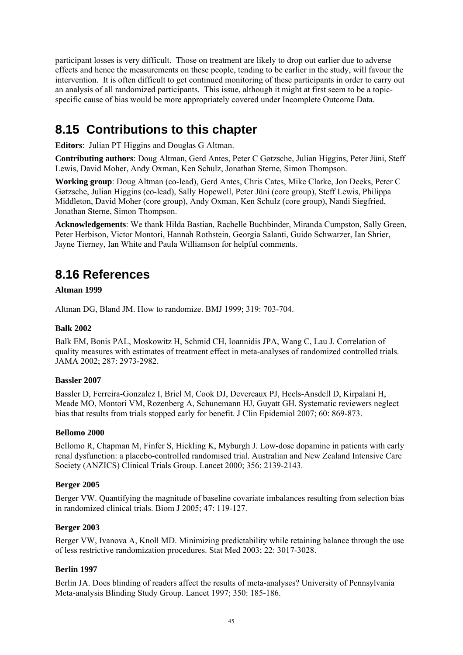<span id="page-45-0"></span>participant losses is very difficult. Those on treatment are likely to drop out earlier due to adverse effects and hence the measurements on these people, tending to be earlier in the study, will favour the intervention. It is often difficult to get continued monitoring of these participants in order to carry out an analysis of all randomized participants. This issue, although it might at first seem to be a topicspecific cause of bias would be more appropriately covered under Incomplete Outcome Data.

## **8.15 Contributions to this chapter**

**Editors**: Julian PT Higgins and Douglas G Altman.

**Contributing authors**: Doug Altman, Gerd Antes, Peter C Gøtzsche, Julian Higgins, Peter Jüni, Steff Lewis, David Moher, Andy Oxman, Ken Schulz, Jonathan Sterne, Simon Thompson.

**Working group**: Doug Altman (co-lead), Gerd Antes, Chris Cates, Mike Clarke, Jon Deeks, Peter C Gøtzsche, Julian Higgins (co-lead), Sally Hopewell, Peter Jüni (core group), Steff Lewis, Philippa Middleton, David Moher (core group), Andy Oxman, Ken Schulz (core group), Nandi Siegfried, Jonathan Sterne, Simon Thompson.

**Acknowledgements**: We thank Hilda Bastian, Rachelle Buchbinder, Miranda Cumpston, Sally Green, Peter Herbison, Victor Montori, Hannah Rothstein, Georgia Salanti, Guido Schwarzer, Ian Shrier, Jayne Tierney, Ian White and Paula Williamson for helpful comments.

## **8.16 References**

#### **Altman 1999**

Altman DG, Bland JM. How to randomize. BMJ 1999; 319: 703-704.

#### **Balk 2002**

Balk EM, Bonis PAL, Moskowitz H, Schmid CH, Ioannidis JPA, Wang C, Lau J. Correlation of quality measures with estimates of treatment effect in meta-analyses of randomized controlled trials. JAMA 2002; 287: 2973-2982.

#### **Bassler 2007**

Bassler D, Ferreira-Gonzalez I, Briel M, Cook DJ, Devereaux PJ, Heels-Ansdell D, Kirpalani H, Meade MO, Montori VM, Rozenberg A, Schunemann HJ, Guyatt GH. Systematic reviewers neglect bias that results from trials stopped early for benefit. J Clin Epidemiol 2007; 60: 869-873.

#### **Bellomo 2000**

Bellomo R, Chapman M, Finfer S, Hickling K, Myburgh J. Low-dose dopamine in patients with early renal dysfunction: a placebo-controlled randomised trial. Australian and New Zealand Intensive Care Society (ANZICS) Clinical Trials Group. Lancet 2000; 356: 2139-2143.

#### **Berger 2005**

Berger VW. Quantifying the magnitude of baseline covariate imbalances resulting from selection bias in randomized clinical trials. Biom J 2005; 47: 119-127.

#### **Berger 2003**

Berger VW, Ivanova A, Knoll MD. Minimizing predictability while retaining balance through the use of less restrictive randomization procedures. Stat Med 2003; 22: 3017-3028.

#### **Berlin 1997**

Berlin JA. Does blinding of readers affect the results of meta-analyses? University of Pennsylvania Meta-analysis Blinding Study Group. Lancet 1997; 350: 185-186.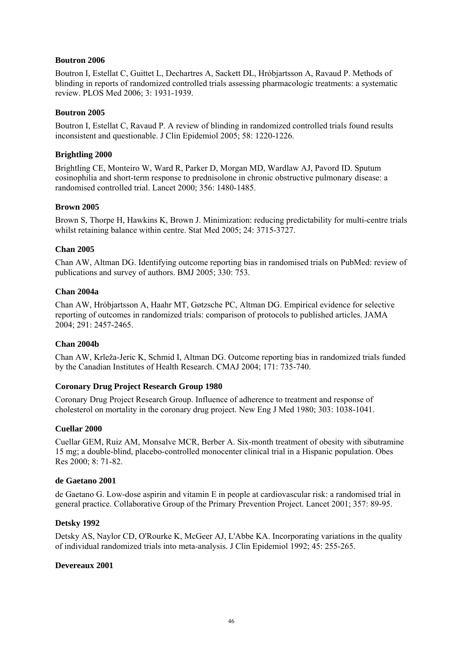#### **Boutron 2006**

Boutron I, Estellat C, Guittet L, Dechartres A, Sackett DL, Hróbjartsson A, Ravaud P. Methods of blinding in reports of randomized controlled trials assessing pharmacologic treatments: a systematic review. PLOS Med 2006; 3: 1931-1939.

#### **Boutron 2005**

Boutron I, Estellat C, Ravaud P. A review of blinding in randomized controlled trials found results inconsistent and questionable. J Clin Epidemiol 2005; 58: 1220-1226.

#### **Brightling 2000**

Brightling CE, Monteiro W, Ward R, Parker D, Morgan MD, Wardlaw AJ, Pavord ID. Sputum eosinophilia and short-term response to prednisolone in chronic obstructive pulmonary disease: a randomised controlled trial. Lancet 2000; 356: 1480-1485.

#### **Brown 2005**

Brown S, Thorpe H, Hawkins K, Brown J. Minimization: reducing predictability for multi-centre trials whilst retaining balance within centre. Stat Med 2005; 24: 3715-3727.

#### **Chan 2005**

Chan AW, Altman DG. Identifying outcome reporting bias in randomised trials on PubMed: review of publications and survey of authors. BMJ 2005; 330: 753.

#### **Chan 2004a**

Chan AW, Hróbjartsson A, Haahr MT, Gøtzsche PC, Altman DG. Empirical evidence for selective reporting of outcomes in randomized trials: comparison of protocols to published articles. JAMA 2004; 291: 2457-2465.

#### **Chan 2004b**

Chan AW, Krleža-Jeric K, Schmid I, Altman DG. Outcome reporting bias in randomized trials funded by the Canadian Institutes of Health Research. CMAJ 2004; 171: 735-740.

#### **Coronary Drug Project Research Group 1980**

Coronary Drug Project Research Group. Influence of adherence to treatment and response of cholesterol on mortality in the coronary drug project. New Eng J Med 1980; 303: 1038-1041.

#### **Cuellar 2000**

Cuellar GEM, Ruiz AM, Monsalve MCR, Berber A. Six-month treatment of obesity with sibutramine 15 mg; a double-blind, placebo-controlled monocenter clinical trial in a Hispanic population. Obes Res 2000; 8: 71-82.

#### **de Gaetano 2001**

de Gaetano G. Low-dose aspirin and vitamin E in people at cardiovascular risk: a randomised trial in general practice. Collaborative Group of the Primary Prevention Project. Lancet 2001; 357: 89-95.

#### **Detsky 1992**

Detsky AS, Naylor CD, O'Rourke K, McGeer AJ, L'Abbe KA. Incorporating variations in the quality of individual randomized trials into meta-analysis. J Clin Epidemiol 1992; 45: 255-265.

#### **Devereaux 2001**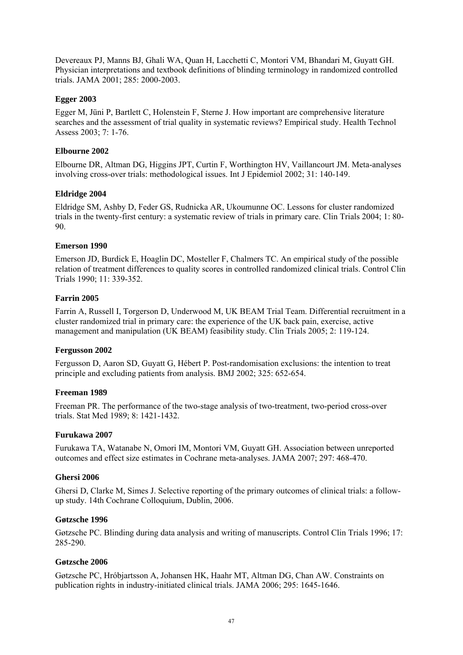Devereaux PJ, Manns BJ, Ghali WA, Quan H, Lacchetti C, Montori VM, Bhandari M, Guyatt GH. Physician interpretations and textbook definitions of blinding terminology in randomized controlled trials. JAMA 2001; 285: 2000-2003.

#### **Egger 2003**

Egger M, Jüni P, Bartlett C, Holenstein F, Sterne J. How important are comprehensive literature searches and the assessment of trial quality in systematic reviews? Empirical study. Health Technol Assess 2003; 7: 1-76.

#### **Elbourne 2002**

Elbourne DR, Altman DG, Higgins JPT, Curtin F, Worthington HV, Vaillancourt JM. Meta-analyses involving cross-over trials: methodological issues. Int J Epidemiol 2002; 31: 140-149.

#### **Eldridge 2004**

Eldridge SM, Ashby D, Feder GS, Rudnicka AR, Ukoumunne OC. Lessons for cluster randomized trials in the twenty-first century: a systematic review of trials in primary care. Clin Trials 2004; 1: 80- 90.

#### **Emerson 1990**

Emerson JD, Burdick E, Hoaglin DC, Mosteller F, Chalmers TC. An empirical study of the possible relation of treatment differences to quality scores in controlled randomized clinical trials. Control Clin Trials 1990; 11: 339-352.

#### **Farrin 2005**

Farrin A, Russell I, Torgerson D, Underwood M, UK BEAM Trial Team. Differential recruitment in a cluster randomized trial in primary care: the experience of the UK back pain, exercise, active management and manipulation (UK BEAM) feasibility study. Clin Trials 2005; 2: 119-124.

#### **Fergusson 2002**

Fergusson D, Aaron SD, Guyatt G, Hébert P. Post-randomisation exclusions: the intention to treat principle and excluding patients from analysis. BMJ 2002; 325: 652-654.

#### **Freeman 1989**

Freeman PR. The performance of the two-stage analysis of two-treatment, two-period cross-over trials. Stat Med 1989; 8: 1421-1432.

#### **Furukawa 2007**

Furukawa TA, Watanabe N, Omori IM, Montori VM, Guyatt GH. Association between unreported outcomes and effect size estimates in Cochrane meta-analyses. JAMA 2007; 297: 468-470.

#### **Ghersi 2006**

Ghersi D, Clarke M, Simes J. Selective reporting of the primary outcomes of clinical trials: a followup study. 14th Cochrane Colloquium, Dublin, 2006.

#### **Gøtzsche 1996**

Gøtzsche PC. Blinding during data analysis and writing of manuscripts. Control Clin Trials 1996; 17: 285-290.

#### **Gøtzsche 2006**

Gøtzsche PC, Hróbjartsson A, Johansen HK, Haahr MT, Altman DG, Chan AW. Constraints on publication rights in industry-initiated clinical trials. JAMA 2006; 295: 1645-1646.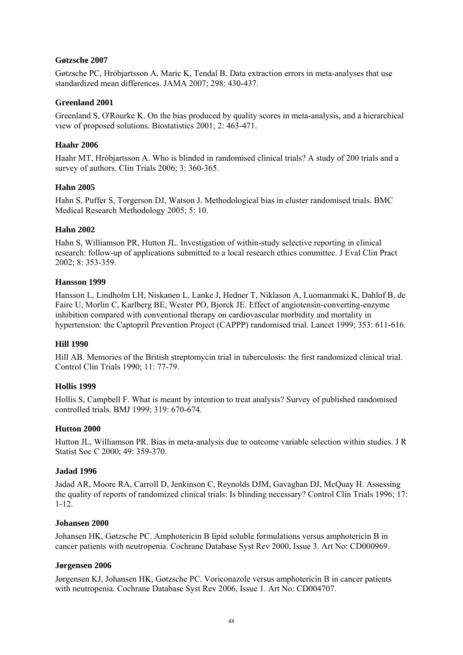#### **Gøtzsche 2007**

Gøtzsche PC, Hróbjartsson A, Maric K, Tendal B. Data extraction errors in meta-analyses that use standardized mean differences. JAMA 2007; 298: 430-437.

#### **Greenland 2001**

Greenland S, O'Rourke K. On the bias produced by quality scores in meta-analysis, and a hierarchical view of proposed solutions. Biostatistics 2001; 2: 463-471.

#### **Haahr 2006**

Haahr MT, Hróbjartsson A. Who is blinded in randomised clinical trials? A study of 200 trials and a survey of authors. Clin Trials 2006; 3: 360-365.

#### **Hahn 2005**

Hahn S, Puffer S, Torgerson DJ, Watson J. Methodological bias in cluster randomised trials. BMC Medical Research Methodology 2005; 5: 10.

#### **Hahn 2002**

Hahn S, Williamson PR, Hutton JL. Investigation of within-study selective reporting in clinical research: follow-up of applications submitted to a local research ethics committee. J Eval Clin Pract 2002; 8: 353-359.

#### **Hansson 1999**

Hansson L, Lindholm LH, Niskanen L, Lanke J, Hedner T, Niklason A, Luomanmaki K, Dahlof B, de Faire U, Morlin C, Karlberg BE, Wester PO, Bjorck JE. Effect of angiotensin-converting-enzyme inhibition compared with conventional therapy on cardiovascular morbidity and mortality in hypertension: the Captopril Prevention Project (CAPPP) randomised trial. Lancet 1999; 353: 611-616.

#### **Hill 1990**

Hill AB. Memories of the British streptomycin trial in tuberculosis: the first randomized clinical trial. Control Clin Trials 1990; 11: 77-79.

#### **Hollis 1999**

Hollis S, Campbell F. What is meant by intention to treat analysis? Survey of published randomised controlled trials. BMJ 1999; 319: 670-674.

#### **Hutton 2000**

Hutton JL, Williamson PR. Bias in meta-analysis due to outcome variable selection within studies. J R Statist Soc C 2000; 49: 359-370.

#### **Jadad 1996**

Jadad AR, Moore RA, Carroll D, Jenkinson C, Reynolds DJM, Gavaghan DJ, McQuay H. Assessing the quality of reports of randomized clinical trials: Is blinding necessary? Control Clin Trials 1996; 17: 1-12.

#### **Johansen 2000**

Johansen HK, Gøtzsche PC. Amphotericin B lipid soluble formulations versus amphotericin B in cancer patients with neutropenia. Cochrane Database Syst Rev 2000, Issue 3. Art No: CD000969.

#### **Jørgensen 2006**

Jørgensen KJ, Johansen HK, Gøtzsche PC. Voriconazole versus amphotericin B in cancer patients with neutropenia. Cochrane Database Syst Rev 2006, Issue 1. Art No: CD004707.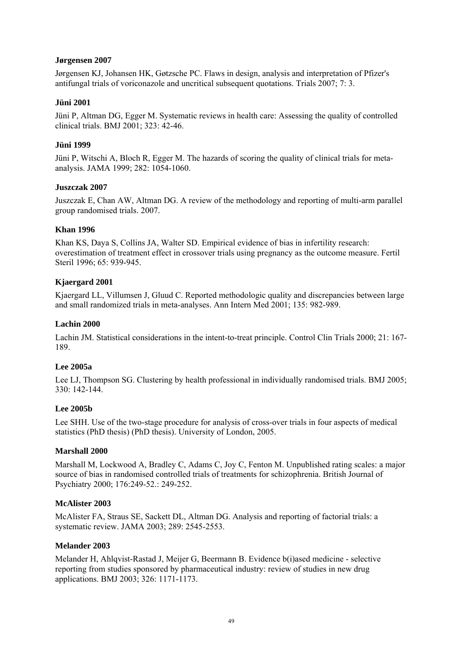#### **Jørgensen 2007**

Jørgensen KJ, Johansen HK, Gøtzsche PC. Flaws in design, analysis and interpretation of Pfizer's antifungal trials of voriconazole and uncritical subsequent quotations. Trials 2007; 7: 3.

#### **Jüni 2001**

Jüni P, Altman DG, Egger M. Systematic reviews in health care: Assessing the quality of controlled clinical trials. BMJ 2001; 323: 42-46.

#### **Jüni 1999**

Jüni P, Witschi A, Bloch R, Egger M. The hazards of scoring the quality of clinical trials for metaanalysis. JAMA 1999; 282: 1054-1060.

#### **Juszczak 2007**

Juszczak E, Chan AW, Altman DG. A review of the methodology and reporting of multi-arm parallel group randomised trials. 2007.

#### **Khan 1996**

Khan KS, Daya S, Collins JA, Walter SD. Empirical evidence of bias in infertility research: overestimation of treatment effect in crossover trials using pregnancy as the outcome measure. Fertil Steril 1996; 65: 939-945.

#### **Kjaergard 2001**

Kjaergard LL, Villumsen J, Gluud C. Reported methodologic quality and discrepancies between large and small randomized trials in meta-analyses. Ann Intern Med 2001; 135: 982-989.

#### **Lachin 2000**

Lachin JM. Statistical considerations in the intent-to-treat principle. Control Clin Trials 2000; 21: 167- 189.

#### **Lee 2005a**

Lee LJ, Thompson SG. Clustering by health professional in individually randomised trials. BMJ 2005; 330: 142-144.

#### **Lee 2005b**

Lee SHH. Use of the two-stage procedure for analysis of cross-over trials in four aspects of medical statistics (PhD thesis) (PhD thesis). University of London, 2005.

#### **Marshall 2000**

Marshall M, Lockwood A, Bradley C, Adams C, Joy C, Fenton M. Unpublished rating scales: a major source of bias in randomised controlled trials of treatments for schizophrenia. British Journal of Psychiatry 2000; 176:249-52.: 249-252.

#### **McAlister 2003**

McAlister FA, Straus SE, Sackett DL, Altman DG. Analysis and reporting of factorial trials: a systematic review. JAMA 2003; 289: 2545-2553.

#### **Melander 2003**

Melander H, Ahlqvist-Rastad J, Meijer G, Beermann B. Evidence b(i)ased medicine - selective reporting from studies sponsored by pharmaceutical industry: review of studies in new drug applications. BMJ 2003; 326: 1171-1173.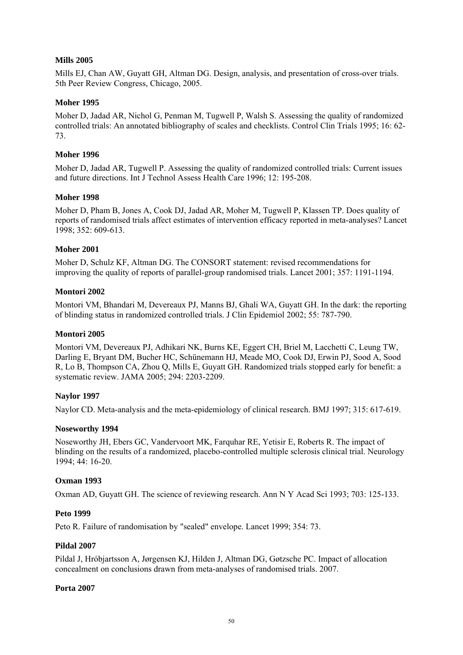#### **Mills 2005**

Mills EJ, Chan AW, Guyatt GH, Altman DG. Design, analysis, and presentation of cross-over trials. 5th Peer Review Congress, Chicago, 2005.

#### **Moher 1995**

Moher D, Jadad AR, Nichol G, Penman M, Tugwell P, Walsh S. Assessing the quality of randomized controlled trials: An annotated bibliography of scales and checklists. Control Clin Trials 1995; 16: 62- 73.

#### **Moher 1996**

Moher D, Jadad AR, Tugwell P. Assessing the quality of randomized controlled trials: Current issues and future directions. Int J Technol Assess Health Care 1996; 12: 195-208.

#### **Moher 1998**

Moher D, Pham B, Jones A, Cook DJ, Jadad AR, Moher M, Tugwell P, Klassen TP. Does quality of reports of randomised trials affect estimates of intervention efficacy reported in meta-analyses? Lancet 1998; 352: 609-613.

#### **Moher 2001**

Moher D, Schulz KF, Altman DG. The CONSORT statement: revised recommendations for improving the quality of reports of parallel-group randomised trials. Lancet 2001; 357: 1191-1194.

#### **Montori 2002**

Montori VM, Bhandari M, Devereaux PJ, Manns BJ, Ghali WA, Guyatt GH. In the dark: the reporting of blinding status in randomized controlled trials. J Clin Epidemiol 2002; 55: 787-790.

#### **Montori 2005**

Montori VM, Devereaux PJ, Adhikari NK, Burns KE, Eggert CH, Briel M, Lacchetti C, Leung TW, Darling E, Bryant DM, Bucher HC, Schünemann HJ, Meade MO, Cook DJ, Erwin PJ, Sood A, Sood R, Lo B, Thompson CA, Zhou Q, Mills E, Guyatt GH. Randomized trials stopped early for benefit: a systematic review. JAMA 2005; 294: 2203-2209.

#### **Naylor 1997**

Naylor CD. Meta-analysis and the meta-epidemiology of clinical research. BMJ 1997; 315: 617-619.

#### **Noseworthy 1994**

Noseworthy JH, Ebers GC, Vandervoort MK, Farquhar RE, Yetisir E, Roberts R. The impact of blinding on the results of a randomized, placebo-controlled multiple sclerosis clinical trial. Neurology 1994; 44: 16-20.

#### **Oxman 1993**

Oxman AD, Guyatt GH. The science of reviewing research. Ann N Y Acad Sci 1993; 703: 125-133.

#### **Peto 1999**

Peto R. Failure of randomisation by "sealed" envelope. Lancet 1999; 354: 73.

#### **Pildal 2007**

Pildal J, Hróbjartsson A, Jørgensen KJ, Hilden J, Altman DG, Gøtzsche PC. Impact of allocation concealment on conclusions drawn from meta-analyses of randomised trials. 2007.

#### **Porta 2007**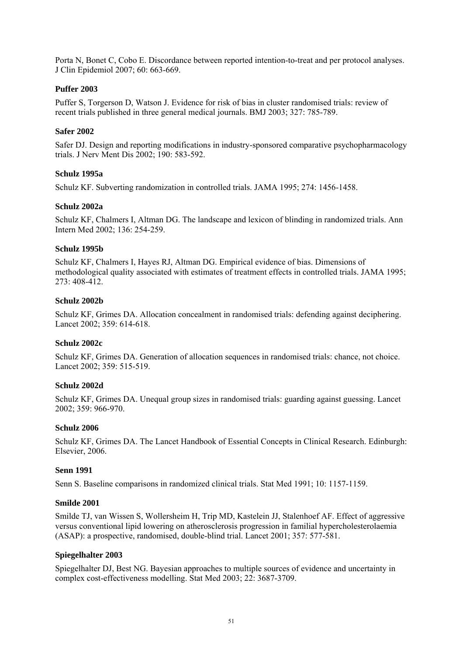Porta N, Bonet C, Cobo E. Discordance between reported intention-to-treat and per protocol analyses. J Clin Epidemiol 2007; 60: 663-669.

#### **Puffer 2003**

Puffer S, Torgerson D, Watson J. Evidence for risk of bias in cluster randomised trials: review of recent trials published in three general medical journals. BMJ 2003; 327: 785-789.

#### **Safer 2002**

Safer DJ. Design and reporting modifications in industry-sponsored comparative psychopharmacology trials. J Nerv Ment Dis 2002; 190: 583-592.

#### **Schulz 1995a**

Schulz KF. Subverting randomization in controlled trials. JAMA 1995; 274: 1456-1458.

#### **Schulz 2002a**

Schulz KF, Chalmers I, Altman DG. The landscape and lexicon of blinding in randomized trials. Ann Intern Med 2002; 136: 254-259.

#### **Schulz 1995b**

Schulz KF, Chalmers I, Hayes RJ, Altman DG. Empirical evidence of bias. Dimensions of methodological quality associated with estimates of treatment effects in controlled trials. JAMA 1995; 273: 408-412.

#### **Schulz 2002b**

Schulz KF, Grimes DA. Allocation concealment in randomised trials: defending against deciphering. Lancet 2002; 359: 614-618.

#### **Schulz 2002c**

Schulz KF, Grimes DA. Generation of allocation sequences in randomised trials: chance, not choice. Lancet 2002; 359: 515-519.

#### **Schulz 2002d**

Schulz KF, Grimes DA. Unequal group sizes in randomised trials: guarding against guessing. Lancet 2002; 359: 966-970.

#### **Schulz 2006**

Schulz KF, Grimes DA. The Lancet Handbook of Essential Concepts in Clinical Research. Edinburgh: Elsevier, 2006.

#### **Senn 1991**

Senn S. Baseline comparisons in randomized clinical trials. Stat Med 1991; 10: 1157-1159.

#### **Smilde 2001**

Smilde TJ, van Wissen S, Wollersheim H, Trip MD, Kastelein JJ, Stalenhoef AF. Effect of aggressive versus conventional lipid lowering on atherosclerosis progression in familial hypercholesterolaemia (ASAP): a prospective, randomised, double-blind trial. Lancet 2001; 357: 577-581.

#### **Spiegelhalter 2003**

Spiegelhalter DJ, Best NG. Bayesian approaches to multiple sources of evidence and uncertainty in complex cost-effectiveness modelling. Stat Med 2003; 22: 3687-3709.